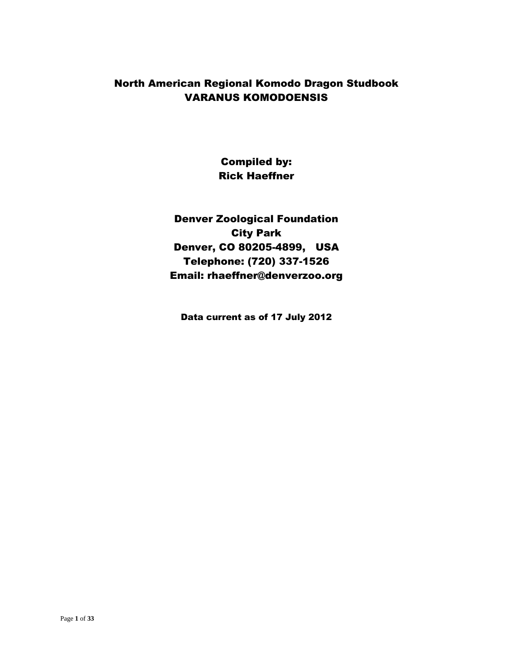### North American Regional Komodo Dragon Studbook VARANUS KOMODOENSIS

Compiled by: Rick Haeffner

Denver Zoological Foundation City Park Denver, CO 80205-4899, USA Telephone: (720) 337-1526 Email: rhaeffner@denverzoo.org

Data current as of 17 July 2012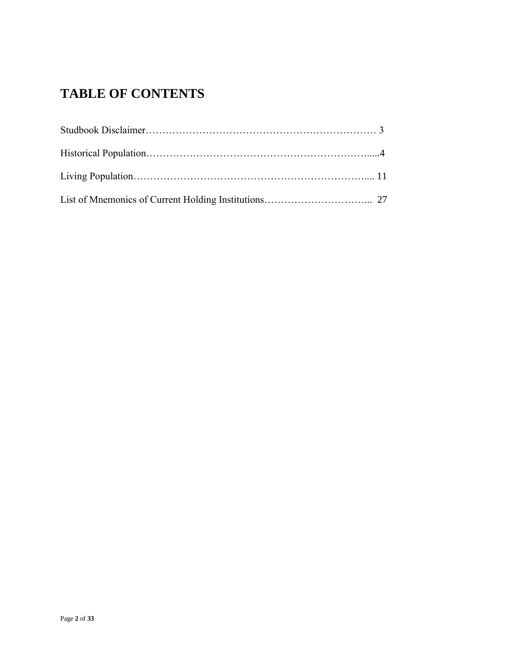# **TABLE OF CONTENTS**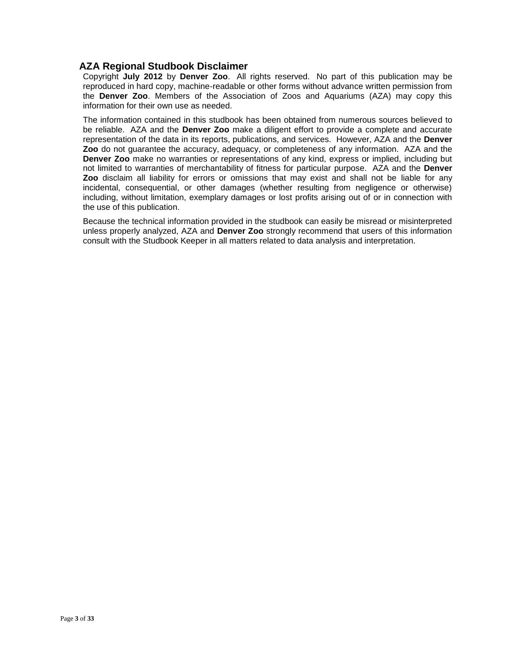#### **AZA Regional Studbook Disclaimer**

Copyright **July 2012** by **Denver Zoo**. All rights reserved. No part of this publication may be reproduced in hard copy, machine-readable or other forms without advance written permission from the **Denver Zoo**. Members of the Association of Zoos and Aquariums (AZA) may copy this information for their own use as needed.

The information contained in this studbook has been obtained from numerous sources believed to be reliable. AZA and the **Denver Zoo** make a diligent effort to provide a complete and accurate representation of the data in its reports, publications, and services. However, AZA and the **Denver Zoo** do not guarantee the accuracy, adequacy, or completeness of any information. AZA and the **Denver Zoo** make no warranties or representations of any kind, express or implied, including but not limited to warranties of merchantability of fitness for particular purpose. AZA and the **Denver Zoo** disclaim all liability for errors or omissions that may exist and shall not be liable for any incidental, consequential, or other damages (whether resulting from negligence or otherwise) including, without limitation, exemplary damages or lost profits arising out of or in connection with the use of this publication.

Because the technical information provided in the studbook can easily be misread or misinterpreted unless properly analyzed, AZA and **Denver Zoo** strongly recommend that users of this information consult with the Studbook Keeper in all matters related to data analysis and interpretation.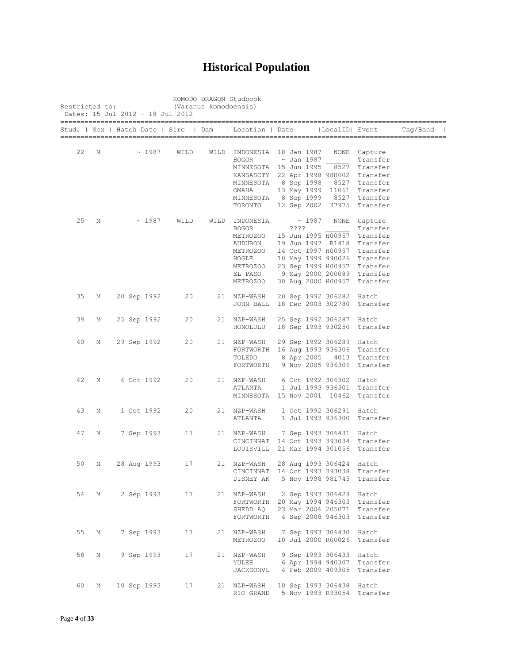## **Historical Population**

|    |   |             |      |      | Stud#   Sex   Hatch Date   Sire   Dam   Location   Date        |            |       | LocalID  Event           |                             | Taq/Band |
|----|---|-------------|------|------|----------------------------------------------------------------|------------|-------|--------------------------|-----------------------------|----------|
|    |   |             |      |      |                                                                |            |       |                          |                             |          |
| 22 | М | ~1987       | WILD |      | WILD INDONESIA 18 Jan 1987                                     |            |       |                          | NONE Capture                |          |
|    |   |             |      |      | <b>BOGOR</b>                                                   | ~ Jan 1987 |       |                          | Transfer<br>8527 Transfer   |          |
|    |   |             |      |      | MINNESOTA 15 Jun 1995<br>KANSASCTY 22 Apr 1998 98H002 Transfer |            |       |                          |                             |          |
|    |   |             |      |      | MINNESOTA                                                      | 8 Sep 1998 |       |                          | 8527 Transfer               |          |
|    |   |             |      |      | OMAHA                                                          |            |       |                          | 13 May 1999 11061 Transfer  |          |
|    |   |             |      |      | MINNESOTA                                                      |            |       |                          | 8 Sep 1999 8527 Transfer    |          |
|    |   |             |      |      | TORONTO                                                        |            |       |                          | 12 Sep 2002 37975 Transfer  |          |
| 25 | М | $\sim 1987$ | WILD | WILD | INDONESIA                                                      |            | ~1987 |                          | NONE Capture                |          |
|    |   |             |      |      | <b>BOGOR</b>                                                   | ????       |       |                          | Transfer                    |          |
|    |   |             |      |      | METROZOO                                                       |            |       | 15 Jun 1995 H00957       | Transfer                    |          |
|    |   |             |      |      | AUDUBON                                                        |            |       | 19 Jun 1997 R1418        | Transfer                    |          |
|    |   |             |      |      | METROZOO                                                       |            |       | 14 Oct 1997 H00957       | Transfer                    |          |
|    |   |             |      |      | HOGLE                                                          |            |       |                          | 10 May 1999 990026 Transfer |          |
|    |   |             |      |      | METROZOO                                                       |            |       |                          | 23 Sep 1999 H00957 Transfer |          |
|    |   |             |      |      | EL PASO                                                        |            |       |                          | 9 May 2000 200089 Transfer  |          |
|    |   |             |      |      | METROZOO                                                       |            |       | 30 Aug 2000 H00957       | Transfer                    |          |
| 35 | М | 20 Sep 1992 | 20   |      | 21 NZP-WASH                                                    |            |       | 20 Sep 1992 306282 Hatch |                             |          |
|    |   |             |      |      | JOHN BALL                                                      |            |       | 18 Dec 2003 302780       | Transfer                    |          |
| 39 | М | 25 Sep 1992 | 20   |      | 21 NZP-WASH                                                    |            |       | 25 Sep 1992 306287 Hatch |                             |          |
|    |   |             |      |      | HONOLULU                                                       |            |       | 18 Sep 1993 930250       | Transfer                    |          |
| 40 | М | 29 Sep 1992 | 20   |      | 21 NZP-WASH                                                    |            |       | 29 Sep 1992 306289 Hatch |                             |          |
|    |   |             |      |      | FORTWORTH 16 Aug 1993 936306 Transfer                          |            |       |                          |                             |          |
|    |   |             |      |      | TOLEDO                                                         |            |       |                          | 8 Apr 2005 4013 Transfer    |          |
|    |   |             |      |      | FORTWORTH                                                      |            |       | 9 Nov 2005 936306        | Transfer                    |          |
| 42 | М | 6 Oct 1992  | 20   |      | 21 NZP-WASH                                                    |            |       | 6 Oct 1992 306302 Hatch  |                             |          |
|    |   |             |      |      | ATLANTA                                                        |            |       | 1 Jul 1993 936301        | Transfer                    |          |
|    |   |             |      |      | MINNESOTA                                                      |            |       | 15 Nov 2001 10462        | Transfer                    |          |
| 43 | М | 1 Oct 1992  | 20   |      | 21 NZP-WASH                                                    |            |       | 1 Oct 1992 306291 Hatch  |                             |          |
|    |   |             |      |      | ATLANTA                                                        |            |       | 1 Jul 1993 936300        | Transfer                    |          |
| 47 | М | 7 Sep 1993  | 17   |      | 21 NZP-WASH                                                    |            |       | 7 Sep 1993 306431 Hatch  |                             |          |
|    |   |             |      |      | CINCINNAT                                                      |            |       |                          | 14 Oct 1993 393034 Transfer |          |
|    |   |             |      |      | LOUISVILL                                                      |            |       | 21 Mar 1994 301056       | Transfer                    |          |
| 50 | М | 28 Aug 1993 | 17   |      | 21 NZP-WASH                                                    |            |       | 28 Aug 1993 306424       | Hatch                       |          |
|    |   |             |      |      | CINCINNAT 14 Oct 1993 393038                                   |            |       |                          | Transfer                    |          |
|    |   |             |      |      | DISNEY AK 5 Nov 1998 981745 Transfer                           |            |       |                          |                             |          |
| 54 | М | 2 Sep 1993  | 17   |      | 21 NZP-WASH                                                    |            |       | 2 Sep 1993 306429 Hatch  |                             |          |
|    |   |             |      |      | FORTWORTH 20 May 1994 946303 Transfer                          |            |       |                          |                             |          |
|    |   |             |      |      | SHEDD AQ                                                       |            |       |                          | 23 Mar 2006 205071 Transfer |          |
|    |   |             |      |      | FORTWORTH 4 Sep 2008 946303 Transfer                           |            |       |                          |                             |          |
| 55 | М | 7 Sep 1993  | 17   |      | 21 NZP-WASH                                                    |            |       | 7 Sep 1993 306430 Hatch  |                             |          |
|    |   |             |      |      | METROZOO                                                       |            |       | 10 Jul 2000 R00026       | Transfer                    |          |
| 58 | М | 9 Sep 1993  | 17   |      | 21 NZP-WASH                                                    |            |       | 9 Sep 1993 306433 Hatch  |                             |          |
|    |   |             |      |      | YULEE                                                          |            |       |                          | 6 Apr 1994 940307 Transfer  |          |
|    |   |             |      |      | JACKSONVL                                                      |            |       | 4 Feb 2009 409305        | Transfer                    |          |
|    |   |             |      |      |                                                                |            |       |                          |                             |          |
| 60 | М | 10 Sep 1993 | 17   |      | 21 NZP-WASH                                                    |            |       | 10 Sep 1993 306438 Hatch |                             |          |
|    |   |             |      |      | RIO GRAND                                                      |            |       |                          | 5 Nov 1993 R93054 Transfer  |          |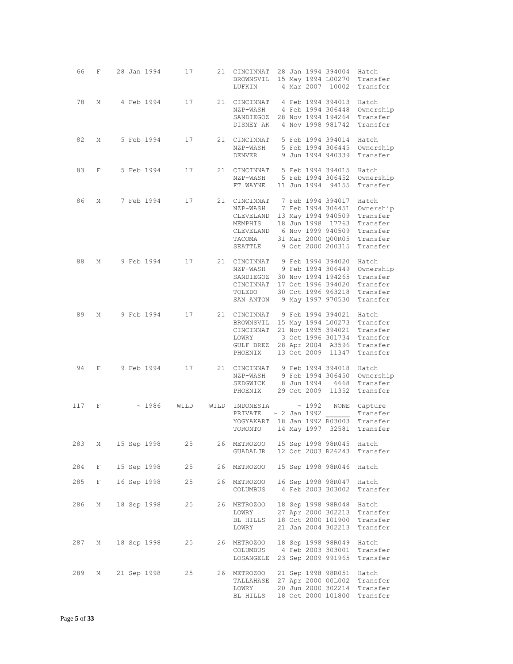| 66  | F           |  | 28 Jan 1994   | 17   | 21   | CINCINNAT<br>BROWNSVIL<br>LUFKIN                                                                              |  | 4 Mar 2007                                | 28 Jan 1994 394004<br>15 May 1994 L00270<br>10002                                                                                                 | Hatch<br>Transfer<br>Transfer                                                  |
|-----|-------------|--|---------------|------|------|---------------------------------------------------------------------------------------------------------------|--|-------------------------------------------|---------------------------------------------------------------------------------------------------------------------------------------------------|--------------------------------------------------------------------------------|
| 78  | М           |  | 4 Feb 1994    | 17   | 21   | CINCINNAT<br>NZP-WASH<br>SANDIEGOZ 28 Nov 1994 194264<br>DISNEY AK                                            |  |                                           | 4 Feb 1994 394013<br>4 Feb 1994 306448<br>4 Nov 1998 981742                                                                                       | Hatch<br>Ownership<br>Transfer<br>Transfer                                     |
| 82  | М           |  | 5 Feb 1994    | 17   | 21   | CINCINNAT<br>NZP-WASH<br>DENVER                                                                               |  |                                           | 5 Feb 1994 394014<br>5 Feb 1994 306445<br>9 Jun 1994 940339                                                                                       | Hatch<br>Ownership<br>Transfer                                                 |
| 83  | F           |  | 5 Feb 1994    | 17   | 21   | CINCINNAT<br>NZP-WASH<br>FT WAYNE                                                                             |  | 11 Jun 1994                               | 5 Feb 1994 394015<br>5 Feb 1994 306452<br>94155                                                                                                   | Hatch<br>Ownership<br>Transfer                                                 |
| 86  | М           |  | 7 Feb 1994    | 17   | 21   | CINCINNAT<br>NZP-WASH<br>CLEVELAND<br>MEMPHIS<br>CLEVELAND<br>TACOMA<br>SEATTLE                               |  |                                           | 7 Feb 1994 394017<br>7 Feb 1994 306451<br>13 May 1994 940509<br>18 Jun 1998 17763<br>6 Nov 1999 940509<br>31 Mar 2000 Q00R05<br>9 Oct 2000 200315 | Hatch<br>Ownership<br>Transfer<br>Transfer<br>Transfer<br>Transfer<br>Transfer |
| 88  | М           |  | 9 Feb 1994    | 17   |      | 21 CINCINNAT 9 Feb 1994 394020<br>NZP-WASH 9 Feb 1994 306449<br>SANDIEGOZ<br>CINCINNAT<br>TOLEDO<br>SAN ANTON |  |                                           | 30 Nov 1994 194265<br>17 Oct 1996 394020<br>30 Oct 1996 963218<br>9 May 1997 970530                                                               | Hatch<br>Ownership<br>Transfer<br>Transfer<br>Transfer<br>Transfer             |
| 89  | М           |  | 9 Feb 1994    | 17   | 21   | CINCINNAT<br>BROWNSVIL<br>CINCINNAT<br>LOWRY<br>GULF BREZ<br>PHOENIX                                          |  | 13 Oct 2009                               | 9 Feb 1994 394021<br>15 May 1994 L00273<br>21 Nov 1995 394021<br>3 Oct 1996 301734<br>28 Apr 2004 A3596<br>11347                                  | Hatch<br>Transfer<br>Transfer<br>Transfer<br>Transfer<br>Transfer              |
| 94  | F           |  | 9 Feb 1994    | 17   |      | 21 CINCINNAT<br>NZP-WASH<br>SEDGWICK<br>PHOENIX                                                               |  | 29 Oct 2009                               | 9 Feb 1994 394018<br>9 Feb 1994 306450<br>8 Jun 1994 6668<br>11352                                                                                | Hatch<br>Ownership<br>Transfer<br>Transfer                                     |
| 117 | F           |  | ~1986         | WILD | WILD | INDONESIA<br>PRIVATE<br>YOGYAKART<br>TORONTO                                                                  |  | ~1992<br>$\sim$ 2 Jan 1992<br>14 May 1997 | NONE<br>18 Jan 1992 R03003<br>32581                                                                                                               | Capture<br>Transfer<br>Transfer<br>Transfer                                    |
|     | 283 M       |  | 15 Sep 1998   | 25   |      | 26 METROZOO 15 Sep 1998 98R045 Hatch<br>GUADALJR                                                              |  |                                           | 12 Oct 2003 R26243                                                                                                                                | Transfer                                                                       |
| 284 | F           |  | 15 Sep 1998   | 25   | 26   | METROZOO                                                                                                      |  |                                           | 15 Sep 1998 98R046                                                                                                                                | Hatch                                                                          |
| 285 | $F$ and $F$ |  | 16 Sep 1998   | 25   |      | 26 METROZOO<br>COLUMBUS                                                                                       |  |                                           | 16 Sep 1998 98R047<br>4 Feb 2003 303002                                                                                                           | Hatch<br>Transfer                                                              |
| 286 | М           |  | 18 Sep 1998   | 25   |      | 26 METROZOO<br>LOWRY<br>BL HILLS<br>LOWRY                                                                     |  |                                           | 18 Sep 1998 98R048<br>27 Apr 2000 302213<br>18 Oct 2000 101900<br>21 Jan 2004 302213                                                              | Hatch<br>Transfer<br>Transfer<br>Transfer                                      |
| 287 |             |  | M 18 Sep 1998 | 25   |      | 26 METROZOO<br>COLUMBUS<br>LOSANGELE                                                                          |  |                                           | 18 Sep 1998 98R049<br>4 Feb 2003 303001<br>23 Sep 2009 991965                                                                                     | Hatch<br>Transfer<br>Transfer                                                  |
| 289 | M           |  | 21 Sep 1998   | 25   |      | 26 METROZOO<br>TALLAHASE<br>LOWRY<br>BL HILLS                                                                 |  |                                           | 21 Sep 1998 98R051<br>27 Apr 2000 00L002<br>20 Jun 2000 302214<br>18 Oct 2000 101800                                                              | Hatch<br>Transfer<br>Transfer<br>Transfer                                      |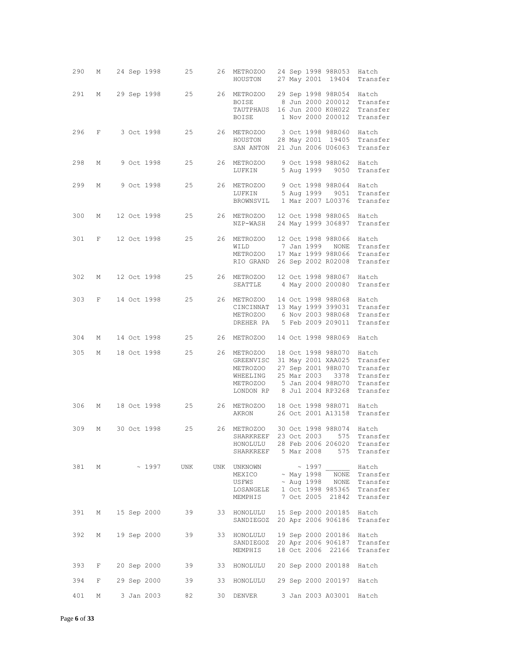| 290 | M           |  |                  | 24 Sep 1998 25 |    | 26 METROZOO 24 Sep 1998 98R053 Hatch<br>HOUSTON                                                                                                                                                                                                                                                       |  |             | 27 May 2001 19404                                      | Transfer                                                 |
|-----|-------------|--|------------------|----------------|----|-------------------------------------------------------------------------------------------------------------------------------------------------------------------------------------------------------------------------------------------------------------------------------------------------------|--|-------------|--------------------------------------------------------|----------------------------------------------------------|
| 291 | М           |  |                  |                |    | 29 Sep 1998 25 26 METROZOO 29 Sep 1998 98R054 Hatch<br>BOISE<br>TAUTPHAUS 16 Jun 2000 K0H022 Transfer<br>BOISE                                                                                                                                                                                        |  |             |                                                        | 8 Jun 2000 200012 Transfer<br>1 Nov 2000 200012 Transfer |
|     |             |  | 296 F 3 Oct 1998 |                |    | 25 26 METROZOO<br>HOUSTON<br>SAN ANTON 21 Jun 2006 U06063 Transfer                                                                                                                                                                                                                                    |  |             | 3 Oct 1998 98R060 Hatch                                | 28 May 2001 19405 Transfer                               |
| 298 | М           |  | 9 Oct 1998       |                |    | 25 26 METROZOO<br>LUFKIN                                                                                                                                                                                                                                                                              |  |             | 9 Oct 1998 98R062 Hatch<br>5 Aug 1999 9050             | Transfer                                                 |
| 299 | М           |  | 9 Oct 1998       | 25             |    | 26 METROZOO<br>LUFKIN<br>BROWNSVIL 1 Mar 2007 L00376                                                                                                                                                                                                                                                  |  |             | 9 Oct 1998 98R064 Hatch<br>5 Aug 1999 9051             | Transfer<br>Transfer                                     |
| 300 | М           |  | 12 Oct 1998      | 25             |    | 26 METROZOO<br>NZP-WASH                                                                                                                                                                                                                                                                               |  |             | 12 Oct 1998 98R065 Hatch<br>24 May 1999 306897         | Transfer                                                 |
| 301 | F           |  | 12 Oct 1998      | 25             |    | 26 METROZOO<br>WILD<br>METROZOO 17 Mar 1999 98R066<br>RIO GRAND 26 Sep 2002 R02008                                                                                                                                                                                                                    |  |             | 12 Oct 1998 98R066 Hatch<br>7 Jan 1999    NONE         | Transfer<br>Transfer<br>Transfer                         |
| 302 | M           |  |                  |                |    | 12 Oct 1998 25 26 METROZOO<br>SEATTLE 4 May 2000 200080                                                                                                                                                                                                                                               |  |             | 12 Oct 1998 98R067 Hatch                               | Transfer                                                 |
| 303 | F           |  | 14 Oct 1998      | 25             |    | 26 METROZOO<br>CINCINNAT 13 May 1999 399031 Transfer<br>METROZOO 6 Nov 2003 98R068<br>DREHER PA 5 Feb 2009 209011 Transfer                                                                                                                                                                            |  |             | 14 Oct 1998 98R068 Hatch                               | Transfer                                                 |
| 304 | M           |  | 14 Oct 1998      |                |    | 25 26 METROZOO                                                                                                                                                                                                                                                                                        |  |             | 14 Oct 1998 98R069                                     | Hatch                                                    |
| 305 | M           |  | 18 Oct 1998      | 25             |    | 26 METROZOO<br>GREENVISC 31 May 2001 XAA025 Transfer<br>METROZOO<br>WHEELING<br>METROZOO 5 Jan 2004 98RO70<br>LONDON RP 8 Jul 2004 RP3268                                                                                                                                                             |  | 25 Mar 2003 | 18 Oct 1998 98R070 Hatch<br>27 Sep 2001 98R070<br>3378 | Transfer<br>Transfer<br>Transfer<br>Transfer             |
| 306 | М           |  | 18 Oct 1998      |                |    | 25 26 METROZOO<br>AKRON                                                                                                                                                                                                                                                                               |  |             | 18 Oct 1998 98R071 Hatch                               | 26 Oct 2001 A13158 Transfer                              |
| 309 | М           |  | 30 Oct 1998      | 25             |    | 26 METROZOO<br>SHARKREEF 23 Oct 2003<br>HONOLULU 28 Feb 2006 206020 Transfer<br>SHARKREEF 5 Mar 2008                                                                                                                                                                                                  |  |             | 575<br>575                                             | 30 Oct 1998 98R074 Hatch<br>Transfer<br>Transfer         |
| 381 | M           |  | $\sim 1997$      | UNK            |    | UNK UNKNOWN<br>$\begin{tabular}{llllll} \texttt{MEXICO} & $\sim$ \texttt{May 1998} & \overline{\texttt{NONE}} & \texttt{Transfer} \\ \texttt{USFWS} & $\sim$ \texttt{Aug 1998} & \texttt{NONE} & \texttt{Transfer} \end{tabular}$<br>LOSANGELE 1 Oct 1998 985365 Transfer<br>MEMPHIS 7 Oct 2005 21842 |  |             | $\sim$ 1997                                            | Hatch<br>Transfer                                        |
| 391 | M           |  | 15 Sep 2000      |                |    | 39 33 HONOLULU 15 Sep 2000 200185 Hatch<br>SANDIEGOZ 20 Apr 2006 906186 Transfer                                                                                                                                                                                                                      |  |             |                                                        |                                                          |
| 392 | M           |  | 19 Sep 2000      | 39             |    | 33 HONOLULU 19 Sep 2000 200186 Hatch<br>SANDIEGOZ 20 Apr 2006 906187<br>MEMPHIS 18 Oct 2006 22166                                                                                                                                                                                                     |  |             |                                                        | Transfer<br>Transfer                                     |
| 393 | $F =$       |  | 20 Sep 2000      | 39 33          |    | HONOLULU 20 Sep 2000 200188                                                                                                                                                                                                                                                                           |  |             |                                                        | Hatch                                                    |
| 394 | $F$ and $F$ |  | 29 Sep 2000      | 39             |    | 33 HONOLULU 29 Sep 2000 200197 Hatch                                                                                                                                                                                                                                                                  |  |             |                                                        |                                                          |
| 401 | М           |  | 3 Jan 2003       |                | 30 | DENVER                                                                                                                                                                                                                                                                                                |  |             | 3 Jan 2003 A03001                                      | Hatch                                                    |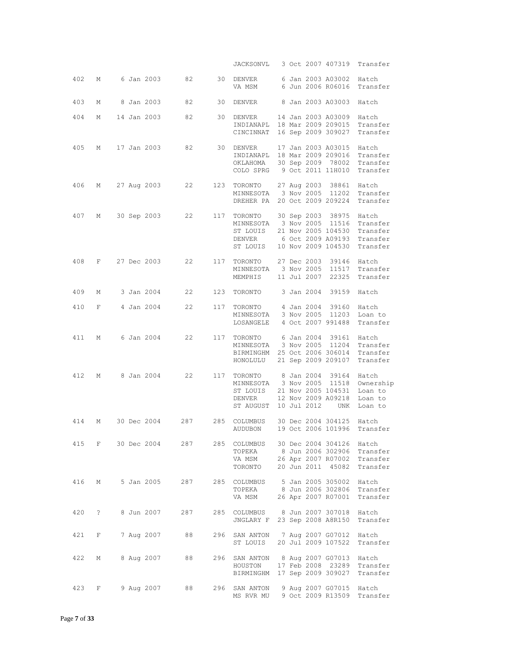|     |            |  |             |                |     | JACKSONVL                                                                                     |  |                                          | 3 Oct 2007 407319                                                                                            | Transfer                                            |
|-----|------------|--|-------------|----------------|-----|-----------------------------------------------------------------------------------------------|--|------------------------------------------|--------------------------------------------------------------------------------------------------------------|-----------------------------------------------------|
| 402 | М          |  |             | 6 Jan 2003 82  |     | 30 DENVER<br>VA MSM                                                                           |  |                                          | 6 Jan 2003 A03002<br>6 Jun 2006 R06016                                                                       | Hatch<br>Transfer                                   |
| 403 | М          |  | 8 Jan 2003  | 82             | 30  | DENVER                                                                                        |  |                                          | 8 Jan 2003 A03003                                                                                            | Hatch                                               |
| 404 | М          |  | 14 Jan 2003 | 82             | 30  | DENVER<br>INDIANAPL<br>CINCINNAT                                                              |  |                                          | 14 Jan 2003 A03009<br>18 Mar 2009 209015<br>16 Sep 2009 309027                                               | Hatch<br>Transfer<br>Transfer                       |
| 405 | М          |  |             | 17 Jan 2003 82 | 30  | DENVER<br>INDIANAPL 18 Mar 2009 209016<br>OKLAHOMA<br>COLO SPRG 9 Oct 2011 11H010             |  |                                          | 17 Jan 2003 A03015<br>30 Sep 2009 78002                                                                      | Hatch<br>Transfer<br>Transfer<br>Transfer           |
| 406 | М          |  | 27 Aug 2003 | 22             | 123 | TORONTO<br>MINNESOTA<br>DREHER PA                                                             |  |                                          | 27 Aug 2003 38861<br>3 Nov 2005 11202<br>20 Oct 2009 209224                                                  | Hatch<br>Transfer<br>Transfer                       |
| 407 | М          |  | 30 Sep 2003 | 22             |     | 117 TORONTO<br>MINNESOTA<br>ST LOUIS<br>DENVER<br>ST LOUIS                                    |  |                                          | 30 Sep 2003 38975 Hatch<br>3 Nov 2005 11516<br>21 Nov 2005 104530<br>6 Oct 2009 A09193<br>10 Nov 2009 104530 | Transfer<br>Transfer<br>Transfer<br>Transfer        |
| 408 | F          |  | 27 Dec 2003 | 22             |     | 117 TORONTO<br>MINNESOTA<br>MEMPHIS                                                           |  | 27 Dec 2003<br>3 Nov 2005<br>11 Jul 2007 | 39146<br>11517<br>22325                                                                                      | Hatch<br>Transfer<br>Transfer                       |
| 409 | М          |  | 3 Jan 2004  | 22             | 123 | TORONTO                                                                                       |  | 3 Jan 2004                               | 39159                                                                                                        | Hatch                                               |
| 410 | F          |  | 4 Jan 2004  | 22             | 117 | TORONTO<br>MINNESOTA 3 Nov 2005 11203<br>LOSANGELE 4 Oct 2007 991488                          |  | 4 Jan 2004                               | 39160                                                                                                        | Hatch<br>Loan to<br>Transfer                        |
| 411 | М          |  | 6 Jan 2004  | 22             |     | 117 TORONTO<br>MINNESOTA 3 Nov 2005 11204<br>BIRMINGHM 25 Oct 2006 306014<br>HONOLULU         |  |                                          | 6 Jan 2004 39161<br>21 Sep 2009 209107                                                                       | Hatch<br>Transfer<br>Transfer<br>Transfer           |
| 412 | М          |  | 8 Jan 2004  | 22             |     | 117 TORONTO 8 Jan 2004 39164<br>MINNESOTA 3 Nov 2005 11518<br>ST LOUIS<br>DENVER<br>ST AUGUST |  | 10 Jul 2012                              | 21 Nov 2005 104531<br>12 Nov 2009 A09218<br>UNK                                                              | Hatch<br>Ownership<br>Loan to<br>Loan to<br>Loan to |
| 414 | М          |  | 30 Dec 2004 | 287            | 285 | COLUMBUS<br>AUDUBON                                                                           |  |                                          | 30 Dec 2004 304125<br>19 Oct 2006 101996                                                                     | Hatch<br>Transfer                                   |
| 415 | F          |  | 30 Dec 2004 | 287            | 285 | COLUMBUS<br>TOPEKA<br>VA MSM<br>TORONTO                                                       |  |                                          | 30 Dec 2004 304126<br>8 Jun 2006 302906<br>26 Apr 2007 R07002<br>20 Jun 2011 45082                           | Hatch<br>Transfer<br>Transfer<br>Transfer           |
| 416 | М          |  | 5 Jan 2005  | 287            | 285 | COLUMBUS<br>TOPEKA<br>VA MSM                                                                  |  |                                          | 5 Jan 2005 305002<br>8 Jun 2006 302806<br>26 Apr 2007 R07001                                                 | Hatch<br>Transfer<br>Transfer                       |
| 420 | $\ddot{?}$ |  | 8 Jun 2007  | 287            | 285 | COLUMBUS<br>JNGLARY F                                                                         |  |                                          | 8 Jun 2007 307018<br>23 Sep 2008 A8R150                                                                      | Hatch<br>Transfer                                   |
| 421 | F          |  | 7 Aug 2007  | 88             | 296 | SAN ANTON<br>ST LOUIS                                                                         |  |                                          | 7 Aug 2007 G07012<br>20 Jul 2009 107522                                                                      | Hatch<br>Transfer                                   |
| 422 | М          |  | 8 Aug 2007  | 88             | 296 | SAN ANTON<br>HOUSTON<br>BIRMINGHM                                                             |  |                                          | 8 Aug 2007 G07013<br>17 Feb 2008 23289<br>17 Sep 2009 309027                                                 | Hatch<br>Transfer<br>Transfer                       |
| 423 | F          |  | 9 Aug 2007  | 88             | 296 | SAN ANTON<br>MS RVR MU                                                                        |  |                                          | 9 Aug 2007 G07015<br>9 Oct 2009 R13509                                                                       | Hatch<br>Transfer                                   |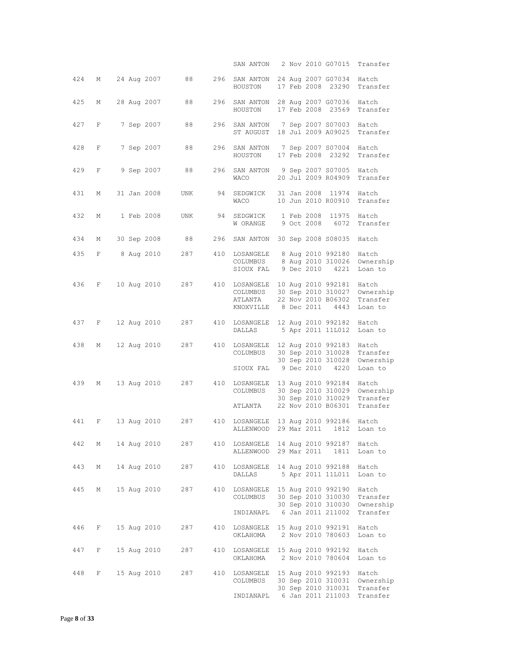|     |   |  |             |     |     | SAN ANTON                                         |  |                          | 2 Nov 2010 G07015                                                                    | Transfer                                   |
|-----|---|--|-------------|-----|-----|---------------------------------------------------|--|--------------------------|--------------------------------------------------------------------------------------|--------------------------------------------|
| 424 | М |  | 24 Aug 2007 | 88  | 296 | SAN ANTON<br>HOUSTON                              |  |                          | 24 Aug 2007 G07034<br>17 Feb 2008 23290                                              | Hatch<br>Transfer                          |
| 425 | М |  | 28 Aug 2007 | 88  | 296 | SAN ANTON<br>HOUSTON                              |  |                          | 28 Aug 2007 G07036<br>17 Feb 2008 23569                                              | Hatch<br>Transfer                          |
| 427 | F |  | 7 Sep 2007  | 88  | 296 | SAN ANTON<br>ST AUGUST                            |  |                          | 7 Sep 2007 S07003<br>18 Jul 2009 A09025                                              | Hatch<br>Transfer                          |
| 428 | F |  | 7 Sep 2007  | 88  | 296 | SAN ANTON<br>HOUSTON                              |  |                          | 7 Sep 2007 S07004<br>17 Feb 2008 23292                                               | Hatch<br>Transfer                          |
| 429 | F |  | 9 Sep 2007  | 88  | 296 | SAN ANTON<br>WACO                                 |  |                          | 9 Sep 2007 S07005<br>20 Jul 2009 R04909                                              | Hatch<br>Transfer                          |
| 431 | М |  | 31 Jan 2008 | UNK | 94  | SEDGWICK<br>WACO                                  |  |                          | 31 Jan 2008 11974<br>10 Jun 2010 R00910                                              | Hatch<br>Transfer                          |
| 432 | М |  | 1 Feb 2008  | UNK | 94  | SEDGWICK<br>W ORANGE                              |  | 1 Feb 2008<br>9 Oct 2008 | 11975<br>6072                                                                        | Hatch<br>Transfer                          |
| 434 | М |  | 30 Sep 2008 | 88  | 296 | SAN ANTON                                         |  |                          | 30 Sep 2008 S08035                                                                   | Hatch                                      |
| 435 | F |  | 8 Aug 2010  | 287 | 410 | LOSANGELE<br>COLUMBUS<br>SIOUX FAL                |  |                          | 8 Aug 2010 992180<br>8 Aug 2010 310026<br>9 Dec 2010 4221                            | Hatch<br>Ownership<br>Loan to              |
| 436 | F |  | 10 Aug 2010 | 287 |     | 410 LOSANGELE<br>COLUMBUS<br>ATLANTA<br>KNOXVILLE |  | 8 Dec 2011               | 10 Aug 2010 992181<br>30 Sep 2010 310027<br>22 Nov 2010 B06302<br>4443               | Hatch<br>Ownership<br>Transfer<br>Loan to  |
| 437 | F |  | 12 Aug 2010 | 287 | 410 | LOSANGELE<br>DALLAS                               |  |                          | 12 Aug 2010 992182<br>5 Apr 2011 11L012                                              | Hatch<br>Loan to                           |
| 438 | М |  | 12 Aug 2010 | 287 | 410 | LOSANGELE<br>COLUMBUS<br>SIOUX FAL                |  | 9 Dec 2010               | 12 Aug 2010 992183<br>30 Sep 2010 310028<br>30 Sep 2010 310028<br>4220               | Hatch<br>Transfer<br>Ownership<br>Loan to  |
| 439 | М |  | 13 Aug 2010 | 287 | 410 | LOSANGELE<br>COLUMBUS<br>ATLANTA                  |  |                          | 13 Aug 2010 992184<br>30 Sep 2010 310029<br>30 Sep 2010 310029<br>22 Nov 2010 B06301 | Hatch<br>Ownership<br>Transfer<br>Transfer |
| 441 | F |  | 13 Aug 2010 | 287 | 410 | LOSANGELE<br>ALLENWOOD                            |  |                          | 13 Aug 2010 992186<br>29 Mar 2011 1812                                               | Hatch<br>Loan to                           |
| 442 | М |  | 14 Aug 2010 | 287 | 410 | LOSANGELE<br>ALLENWOOD                            |  | 29 Mar 2011              | 14 Aug 2010 992187<br>1811                                                           | Hatch<br>Loan to                           |
| 443 | М |  | 14 Aug 2010 | 287 | 410 | LOSANGELE<br>DALLAS                               |  |                          | 14 Aug 2010 992188<br>5 Apr 2011 11L011                                              | Hatch<br>Loan to                           |
| 445 | М |  | 15 Aug 2010 | 287 | 410 | LOSANGELE<br>COLUMBUS<br>INDIANAPL                |  |                          | 15 Aug 2010 992190<br>30 Sep 2010 310030<br>30 Sep 2010 310030<br>6 Jan 2011 211002  | Hatch<br>Transfer<br>Ownership<br>Transfer |
| 446 | F |  | 15 Aug 2010 | 287 | 410 | LOSANGELE<br>OKLAHOMA                             |  |                          | 15 Aug 2010 992191<br>2 Nov 2010 780603                                              | Hatch<br>Loan to                           |
| 447 | F |  | 15 Aug 2010 | 287 | 410 | LOSANGELE 15 Aug 2010 992192<br>OKLAHOMA          |  |                          | 2 Nov 2010 780604                                                                    | Hatch<br>Loan to                           |
| 448 | F |  | 15 Aug 2010 | 287 | 410 | LOSANGELE<br>COLUMBUS                             |  |                          | 15 Aug 2010 992193<br>30 Sep 2010 310031<br>30 Sep 2010 310031                       | Hatch<br>Ownership<br>Transfer             |
|     |   |  |             |     |     | INDIANAPL                                         |  |                          | 6 Jan 2011 211003                                                                    | Transfer                                   |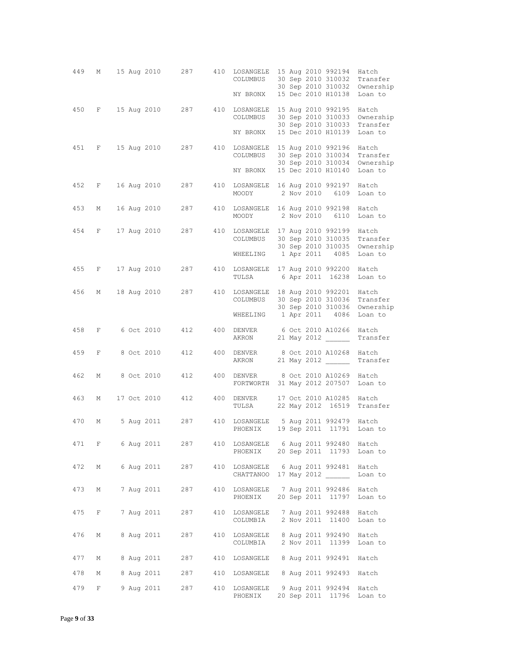| 449   | М            |  |               | 15 Aug 2010 287   |     | 410 LOSANGELE<br>COLUMBUS<br>NY BRONX                                    |  | 15 Aug 2010 992194<br>30 Sep 2010 310032<br>30 Sep 2010 310032<br>15 Dec 2010 H10138 | Hatch<br>Transfer<br>Ownership<br>Loan to |
|-------|--------------|--|---------------|-------------------|-----|--------------------------------------------------------------------------|--|--------------------------------------------------------------------------------------|-------------------------------------------|
| 450   |              |  | F 15 Aug 2010 | 287               |     | 410 LOSANGELE<br>COLUMBUS<br>NY BRONX                                    |  | 15 Aug 2010 992195<br>30 Sep 2010 310033<br>30 Sep 2010 310033<br>15 Dec 2010 H10139 | Hatch<br>Ownership<br>Transfer<br>Loan to |
| 451   | $F$ and $F$  |  | 15 Aug 2010   | 287               |     | 410 LOSANGELE<br>COLUMBUS<br>NY BRONX                                    |  | 15 Aug 2010 992196<br>30 Sep 2010 310034<br>30 Sep 2010 310034<br>15 Dec 2010 H10140 | Hatch<br>Transfer<br>Ownership<br>Loan to |
| 452   |              |  | F 16 Aug 2010 | 287               |     | 410 LOSANGELE 16 Aug 2010 992197<br>MOODY                                |  | 2 Nov 2010 6109                                                                      | Hatch<br>Loan to                          |
| 453   | М            |  | 16 Aug 2010   | 287               |     | 410 LOSANGELE 16 Aug 2010 992198<br>MOODY                                |  | 2 Nov 2010 6110                                                                      | Hatch<br>Loan to                          |
| 454   |              |  |               | F 17 Aug 2010 287 |     | 410 LOSANGELE 17 Aug 2010 992199<br>COLUMBUS<br>WHEELING 1 Apr 2011 4085 |  | 30 Sep 2010 310035<br>30 Sep 2010 310035                                             | Hatch<br>Transfer<br>Ownership<br>Loan to |
| 455   | F            |  | 17 Aug 2010   | 287               |     | 410 LOSANGELE 17 Aug 2010 992200<br>TULSA                                |  |                                                                                      | Hatch<br>6 Apr 2011 16238 Loan to         |
| 456   |              |  |               | M 18 Aug 2010 287 |     | 410 LOSANGELE 18 Aug 2010 992201<br>COLUMBUS                             |  | 30 Sep 2010 310036<br>30 Sep 2010 310036                                             | Hatch<br>Transfer<br>Ownership            |
| 458   | F            |  | 6 Oct 2010    | 412               |     | WHEELING 1 Apr 2011 4086<br>400 DENVER                                   |  | 6 Oct 2010 A10266                                                                    | Loan to<br>Hatch                          |
|       |              |  |               |                   |     | AKRON                                                                    |  | 21 May 2012                                                                          | Transfer                                  |
| 459   | $\mathbf{F}$ |  |               | 8 Oct 2010 412    |     | 400 DENVER<br>AKRON                                                      |  | 8 Oct 2010 A10268<br>21 May 2012                                                     | Hatch<br>Transfer                         |
| 462   | М            |  |               | 8 Oct 2010 412    | 400 | DENVER<br>FORTWORTH 31 May 2012 207507                                   |  | 8 Oct 2010 A10269                                                                    | Hatch<br>Loan to                          |
| 463   | М            |  | 17 Oct 2010   | 412               |     | 400 DENVER<br>TULSA                                                      |  | 17 Oct 2010 A10285 Hatch<br>22 May 2012 16519                                        | Transfer                                  |
| 470   | М            |  | 5 Aug 2011    | 287               |     | 410 LOSANGELE 5 Aug 2011 992479 Hatch<br>PHOENIX                         |  | 19 Sep 2011 11791                                                                    | Loan to                                   |
| 471 F |              |  |               | 6 Aug 2011 287    |     | 410 LOSANGELE 6 Aug 2011 992480 Hatch<br>PHOENIX                         |  |                                                                                      | 20 Sep 2011 11793 Loan to                 |
| 472   | M            |  |               | 6 Aug 2011 287    |     | 410 LOSANGELE 6 Aug 2011 992481<br>CHATTANOO 17 May 2012                 |  |                                                                                      | Hatch<br>Loan to                          |
| 473   | M            |  |               | 7 Aug 2011 287    |     | 410 LOSANGELE<br>PHOENIX                                                 |  | 7 Aug 2011 992486<br>20 Sep 2011 11797                                               | Hatch<br>Loan to                          |
| 475   | $F = -$      |  | 7 Aug 2011    | 287               |     | 410 LOSANGELE 7 Aug 2011 992488<br>COLUMBIA 2 Nov 2011 11400             |  |                                                                                      | Hatch<br>Loan to                          |
| 476   | М            |  | 8 Aug 2011    | 287               | 410 | LOSANGELE 8 Aug 2011 992490<br>COLUMBIA                                  |  | 2 Nov 2011 11399                                                                     | Hatch<br>Loan to                          |
| 477   | М            |  |               | 8 Aug 2011 287    | 410 | LOSANGELE 8 Aug 2011 992491                                              |  |                                                                                      | Hatch                                     |
| 478   | М            |  |               | 8 Aug 2011 287    | 410 | LOSANGELE 8 Aug 2011 992493                                              |  |                                                                                      | Hatch                                     |
| 479   | F            |  | 9 Aug 2011    | 287               | 410 | LOSANGELE<br>PHOENIX                                                     |  | 9 Aug 2011 992494<br>20 Sep 2011 11796                                               | Hatch<br>Loan to                          |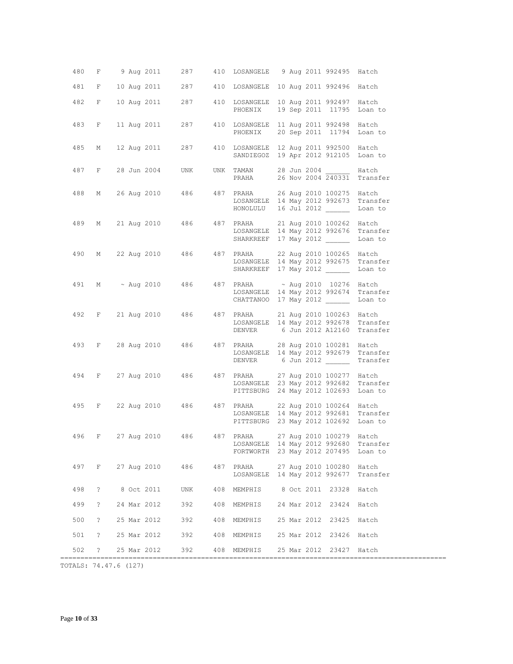| 480 | $\mathbb F$    | 9 Aug 2011 287                  |     |                    | 410 LOSANGELE 9 Aug 2011 992495 Hatch                                                                                                     |          |
|-----|----------------|---------------------------------|-----|--------------------|-------------------------------------------------------------------------------------------------------------------------------------------|----------|
| 481 | F              |                                 |     |                    | 10 Aug 2011 287 410 LOSANGELE 10 Aug 2011 992496 Hatch                                                                                    |          |
| 482 | F              | 10 Aug 2011 287                 |     | PHOENIX            | 410 LOSANGELE 10 Aug 2011 992497 Hatch<br>19 Sep 2011 11795 Loan to                                                                       |          |
| 483 | F              | 11 Aug 2011                     | 287 | PHOENIX            | 410 LOSANGELE 11 Aug 2011 992498 Hatch<br>20 Sep 2011 11794 Loan to                                                                       |          |
| 485 | М              | 12 Aug 2011 287                 |     |                    | 410 LOSANGELE 12 Aug 2011 992500 Hatch<br>SANDIEGOZ 19 Apr 2012 912105 Loan to                                                            |          |
| 487 |                | F 28 Jun 2004 UNK               |     | UNK TAMAN<br>PRAHA | 28 Jun 2004 Hatch<br>26 Nov 2004 240331 Transfer                                                                                          |          |
| 488 |                |                                 |     | HONOLULU           | M 26 Aug 2010 486 487 PRAHA 26 Aug 2010 100275 Hatch<br>LOSANGELE 14 May 2012 992673 Transfer<br>16 Jul 2012                              | Loan to  |
| 489 |                |                                 |     |                    | M 21 Aug 2010 486 487 PRAHA 21 Aug 2010 100262 Hatch<br>LOSANGELE 14 May 2012 992676 Transfer<br>SHARKREEF 17 May 2012                    | Loan to  |
|     |                |                                 |     |                    | 490 M 22 Aug 2010 486 487 PRAHA 22 Aug 2010 100265 Hatch<br>LOSANGELE 14 May 2012 992675 Transfer<br>SHARKREEF 17 May 2012                | Loan to  |
|     |                |                                 |     |                    | 491 M ~ Aug 2010 486 487 PRAHA ~ Aug 2010 10276 Hatch<br>LOSANGELE 14 May 2012 992674 Transfer<br>CHATTANOO 17 May 2012                   | Loan to  |
|     |                |                                 |     |                    | 492 F 21 Aug 2010 486 487 PRAHA 21 Aug 2010 100263 Hatch<br>LOSANGELE 14 May 2012 992678 Transfer<br>DENVER 6 Jun 2012 A12160 Transfer    |          |
|     |                |                                 |     |                    | 493 F 28 Aug 2010 486 487 PRAHA 28 Aug 2010 100281 Hatch<br>LOSANGELE 14 May 2012 992679 Transfer<br>DENVER 6 Jun 2012                    | Transfer |
|     |                |                                 |     |                    | 494 F 27 Aug 2010 486 487 PRAHA 27 Aug 2010 100277 Hatch<br>LOSANGELE 23 May 2012 992682<br>PITTSBURG 24 May 2012 102693 Loan to          | Transfer |
|     |                | 495 F 22 Aug 2010 486 487 PRAHA |     |                    | 22 Aug 2010 100264 Hatch<br>LOSANGELE 14 May 2012 992681<br>PITTSBURG 23 May 2012 102692 Loan to                                          | Transfer |
|     |                |                                 |     |                    | 496 F 27 Aug 2010 486 487 PRAHA 27 Aug 2010 100279 Hatch<br>LOSANGELE 14 May 2012 992680 Transfer<br>FORTWORTH 23 May 2012 207495 Loan to |          |
|     |                | 497 F 27 Aug 2010 486 487 PRAHA |     |                    | 27 Aug 2010 100280 Hatch<br>LOSANGELE 14 May 2012 992677                                                                                  | Transfer |
| 498 | $\mathbb{R}$   | 8 Oct 2011                      |     |                    | UNK 408 MEMPHIS 8 Oct 2011 23328 Hatch                                                                                                    |          |
| 499 | $\tilde{E}$    | 24 Mar 2012                     | 392 |                    | 408 MEMPHIS 24 Mar 2012 23424 Hatch                                                                                                       |          |
| 500 | $\overline{?}$ | 25 Mar 2012                     | 392 |                    | 408 MEMPHIS 25 Mar 2012 23425 Hatch                                                                                                       |          |
| 501 | $\cdot$ ?      |                                 |     |                    | 25 Mar 2012 392 408 MEMPHIS 25 Mar 2012 23426 Hatch                                                                                       |          |
| 502 | $\cdot$ ?      |                                 |     |                    | 25 Mar 2012 392 408 MEMPHIS 25 Mar 2012 23427 Hatch                                                                                       |          |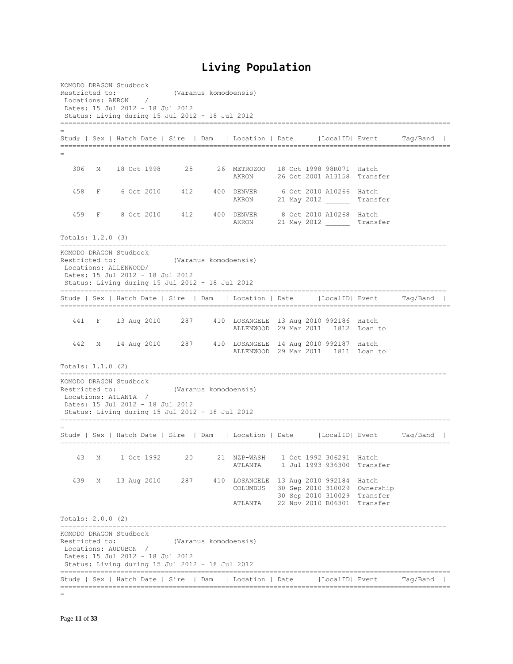## **Living Population**

KOMODO DRAGON Studbook Restricted to: (Varanus komodoensis)<br>
Locations: AKRON / Locations: AKRON Dates: 15 Jul 2012 - 18 Jul 2012 Status: Living during 15 Jul 2012 - 18 Jul 2012 ================================================================================================= = Stud# | Sex | Hatch Date | Sire | Dam | Location | Date |LocalID| Event | Tag/Band | ================================================================================================= = 306 M 18 Oct 1998 25 26 METROZOO 18 Oct 1998 98R071 Hatch AKRON 26 Oct 2001 A13158 Transfer 458 F 6 Oct 2010 412 400 DENVER 6 Oct 2010 A10266 Hatch AKRON 21 May 2012 Transfer 459 F 8 Oct 2010 412 400 DENVER 8 Oct 2010 A10268 Hatch AKRON 21 May 2012 Transfer Totals: 1.2.0 (3) ------------------------------------------------------------------------------------------------ KOMODO DRAGON Studbook Restricted to: (Varanus komodoensis) Locations: ALLENWOOD/ Dates: 15 Jul 2012 - 18 Jul 2012 Status: Living during 15 Jul 2012 - 18 Jul 2012 ================================================================================================ Stud# | Sex | Hatch Date | Sire | Dam | Location | Date |LocalID| Event | Tag/Band | ================================================================================================= 441 F 13 Aug 2010 287 410 LOSANGELE 13 Aug 2010 992186 Hatch ALLENWOOD 29 Mar 2011 1812 Loan to 442 M 14 Aug 2010 287 410 LOSANGELE 14 Aug 2010 992187 Hatch ALLENWOOD 29 Mar 2011 1811 Loan to Totals: 1.1.0 (2) ------------------------------------------------------------------------------------------------ KOMODO DRAGON Studbook Restricted to: (Varanus komodoensis) Locations: ATLANTA / Dates: 15 Jul 2012 - 18 Jul 2012 Status: Living during 15 Jul 2012 - 18 Jul 2012 ================================================================================================= = Stud# | Sex | Hatch Date | Sire | Dam | Location | Date |LocalID| Event | Tag/Band | ================================================================================================= 43 M 1 Oct 1992 20 21 NZP-WASH 1 Oct 1992 306291 Hatch ATLANTA 1 Jul 1993 936300 Transfer 439 M 13 Aug 2010 287 410 LOSANGELE 13 Aug 2010 992184 Hatch COLUMBUS 30 Sep 2010 310029 Ownership 30 Sep 2010 310029 Transfer ATLANTA 22 Nov 2010 B06301 Transfer Totals: 2.0.0 (2) ------------------------------------------------------------------------------------------------ KOMODO DRAGON Studbook Restricted to: (Varanus komodoensis) Locations: AUDUBON / Dates: 15 Jul 2012 - 18 Jul 2012 Status: Living during 15 Jul 2012 - 18 Jul 2012 ================================================================================================= Stud# | Sex | Hatch Date | Sire | Dam | Location | Date |LocalID| Event | Tag/Band | =================================================================================================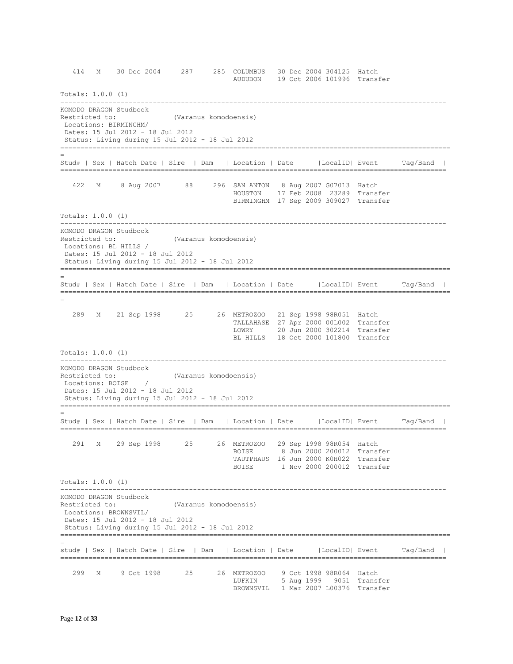414 M 30 Dec 2004 287 285 COLUMBUS 30 Dec 2004 304125 Hatch AUDUBON 19 Oct 2006 101996 Transfer Totals: 1.0.0 (1) ------------------------------------------------------------------------------------------------ KOMODO DRAGON Studbook Restricted to: (Varanus komodoensis) Locations: BIRMINGHM/ Dates: 15 Jul 2012 - 18 Jul 2012 Status: Living during 15 Jul 2012 - 18 Jul 2012 ================================================================================================= = Stud# | Sex | Hatch Date | Sire | Dam | Location | Date |LocalID| Event | Tag/Band | ================================================================================================ 422 M 8 Aug 2007 88 296 SAN ANTON 8 Aug 2007 G07013 Hatch HOUSTON 17 Feb 2008 23289 Transfer BIRMINGHM 17 Sep 2009 309027 Transfer Totals: 1.0.0 (1) ------------------------------------------------------------------------------------------------ KOMODO DRAGON Studbook Restricted to: (Varanus komodoensis) Locations: BL HILLS / Dates: 15 Jul 2012 - 18 Jul 2012 Status: Living during 15 Jul 2012 - 18 Jul 2012 ================================================================================================= = Stud# | Sex | Hatch Date | Sire | Dam | Location | Date |LocalID| Event | Tag/Band | ================================================================================================= = 289 M 21 Sep 1998 25 26 METROZOO 21 Sep 1998 98R051 Hatch TALLAHASE 27 Apr 2000 00L002 Transfer LOWRY 20 Jun 2000 302214 Transfer BL HILLS 18 Oct 2000 101800 Transfer Totals: 1.0.0 (1) ------------------------------------------------------------------------------------------------ KOMODO DRAGON Studbook Restricted to: (Varanus komodoensis) Locations: BOISE / Dates: 15 Jul 2012 - 18 Jul 2012 Status: Living during 15 Jul 2012 - 18 Jul 2012 ================================================================================================= = Stud# | Sex | Hatch Date | Sire | Dam | Location | Date |LocalID| Event | Tag/Band | ================================================================================================ 291 M 29 Sep 1998 25 26 METROZOO 29 Sep 1998 98R054 Hatch BOISE 8 Jun 2000 200012 Transfer TAUTPHAUS 16 Jun 2000 K0H022 Transfer BOISE 1 Nov 2000 200012 Transfer Totals: 1.0.0 (1) ------------------------------------------------------------------------------------------------ KOMODO DRAGON Studbook Restricted to: (Varanus komodoensis) Locations: BROWNSVIL/ Dates: 15 Jul 2012 - 18 Jul 2012 Status: Living during 15 Jul 2012 - 18 Jul 2012 ================================================================================================= = stud# | Sex | Hatch Date | Sire | Dam | Location | Date |LocalID| Event | Tag/Band | ================================================================================================ 299 M 9 Oct 1998 25 26 METROZOO 9 Oct 1998 98R064 Hatch LUFKIN 5 Aug 1999 9051 Transfer BROWNSVIL 1 Mar 2007 L00376 Transfer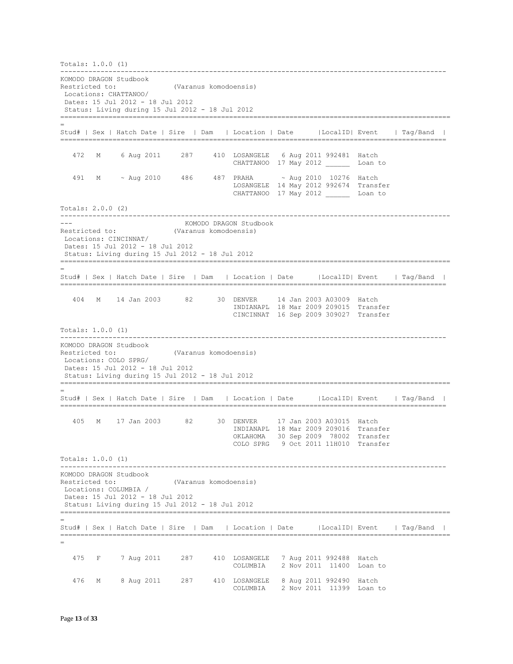Totals: 1.0.0 (1) ------------------------------------------------------------------------------------------------ KOMODO DRAGON Studbook Restricted to: (Varanus komodoensis) Locations: CHATTANOO/ Dates: 15 Jul 2012 - 18 Jul 2012 Status: Living during 15 Jul 2012 - 18 Jul 2012 ================================================================================================= = Stud# | Sex | Hatch Date | Sire | Dam | Location | Date |LocalID| Event | Tag/Band | ================================================================================================ 472 M 6 Aug 2011 287 410 LOSANGELE 6 Aug 2011 992481 Hatch CHATTANOO 17 May 2012 Loan to 491 M ~ Aug 2010 486 487 PRAHA ~ Aug 2010 10276 Hatch LOSANGELE 14 May 2012 992674 Transfer CHATTANOO 17 May 2012 Loan to Totals: 2.0.0 (2) ------------------------------------------------------------------------------------------------- --- KOMODO DRAGON Studbook Restricted to: (Varanus komodoensis) Locations: CINCINNAT/ Dates: 15 Jul 2012 - 18 Jul 2012 Status: Living during 15 Jul 2012 - 18 Jul 2012 ================================================================================================= = Stud# | Sex | Hatch Date | Sire | Dam | Location | Date |LocalID| Event | Tag/Band | ================================================================================================ 404 M 14 Jan 2003 82 30 DENVER 14 Jan 2003 A03009 Hatch INDIANAPL 18 Mar 2009 209015 Transfer CINCINNAT 16 Sep 2009 309027 Transfer Totals: 1.0.0 (1) ------------------------------------------------------------------------------------------------ KOMODO DRAGON Studbook Restricted to: (Varanus komodoensis) Locations: COLO SPRG/ Dates: 15 Jul 2012 - 18 Jul 2012 Status: Living during 15 Jul 2012 - 18 Jul 2012 ================================================================================================= = Stud# | Sex | Hatch Date | Sire | Dam | Location | Date |LocalID| Event | Tag/Band | ================================================================================================ 405 M 17 Jan 2003 82 30 DENVER 17 Jan 2003 A03015 Hatch INDIANAPL 18 Mar 2009 209016 Transfer OKLAHOMA 30 Sep 2009 78002 Transfer COLO SPRG 9 Oct 2011 11H010 Transfer Totals: 1.0.0 (1) ------------------------------------------------------------------------------------------------ KOMODO DRAGON Studbook Restricted to: (Varanus komodoensis) Locations: COLUMBIA / Dates: 15 Jul 2012 - 18 Jul 2012 Status: Living during 15 Jul 2012 - 18 Jul 2012 ================================================================================================= = Stud# | Sex | Hatch Date | Sire | Dam | Location | Date |LocalID| Event | Tag/Band | ================================================================================================= = 475 F 7 Aug 2011 287 410 LOSANGELE 7 Aug 2011 992488 Hatch COLUMBIA 2 Nov 2011 11400 Loan to 476 M 8 Aug 2011 287 410 LOSANGELE 8 Aug 2011 992490 Hatch COLUMBIA 2 Nov 2011 11399 Loan to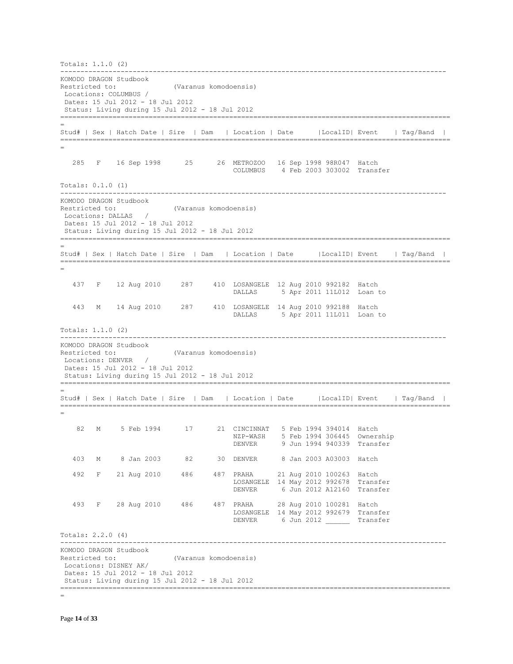Totals: 1.1.0 (2) ------------------------------------------------------------------------------------------------ KOMODO DRAGON Studbook Restricted to: (Varanus komodoensis) Locations: COLUMBUS / Dates: 15 Jul 2012 - 18 Jul 2012 Status: Living during 15 Jul 2012 - 18 Jul 2012 ================================================================================================= = Stud# | Sex | Hatch Date | Sire | Dam | Location | Date |LocalID| Event | Tag/Band | ================================================================================================= = 285 F 16 Sep 1998 25 26 METROZOO 16 Sep 1998 98R047 Hatch COLUMBUS 4 Feb 2003 303002 Transfer Totals: 0.1.0 (1) ------------------------------------------------------------------------------------------------ KOMODO DRAGON Studbook Restricted to: (Varanus komodoensis)<br>
Locations: DALLAS / Locations: DALLAS Dates: 15 Jul 2012 - 18 Jul 2012 Status: Living during 15 Jul 2012 - 18 Jul 2012 ================================================================================================= = Stud# | Sex | Hatch Date | Sire | Dam | Location | Date |LocalID| Event | Tag/Band | ================================================================================================= = 437 F 12 Aug 2010 287 410 LOSANGELE 12 Aug 2010 992182 Hatch DALLAS 5 Apr 2011 11L012 Loan to 443 M 14 Aug 2010 287 410 LOSANGELE 14 Aug 2010 992188 Hatch DALLAS 5 Apr 2011 11L011 Loan to Totals: 1.1.0 (2) ------------------------------------------------------------------------------------------------ KOMODO DRAGON Studbook Restricted to: (Varanus komodoensis) Locations: DENVER / Dates: 15 Jul 2012 - 18 Jul 2012 Status: Living during 15 Jul 2012 - 18 Jul 2012 ================================================================================================= = Stud# | Sex | Hatch Date | Sire | Dam | Location | Date |LocalID| Event | Tag/Band | ================================================================================================= = 82 M 5 Feb 1994 17 21 CINCINNAT 5 Feb 1994 394014 Hatch NZP-WASH 5 Feb 1994 306445 Ownership<br>DENVER 9 Jun 1994 940339 Transfer 9 Jun 1994 940339 Transfer 403 M 8 Jan 2003 82 30 DENVER 8 Jan 2003 A03003 Hatch 492 F 21 Aug 2010 486 487 PRAHA 21 Aug 2010 100263 Hatch LOSANGELE 14 May 2012 992678 Transfer DENVER 6 Jun 2012 A12160 Transfer 493 F 28 Aug 2010 486 487 PRAHA 28 Aug 2010 100281 Hatch LOSANGELE 14 May 2012 992679 Transfer 6 Jun 2012 \_\_\_\_\_\_\_ Transfer Totals: 2.2.0 (4) ------------------------------------------------------------------------------------------------ KOMODO DRAGON Studbook Restricted to: (Varanus komodoensis) Locations: DISNEY AK/ Dates: 15 Jul 2012 - 18 Jul 2012 Status: Living during 15 Jul 2012 - 18 Jul 2012 =================================================================================================

=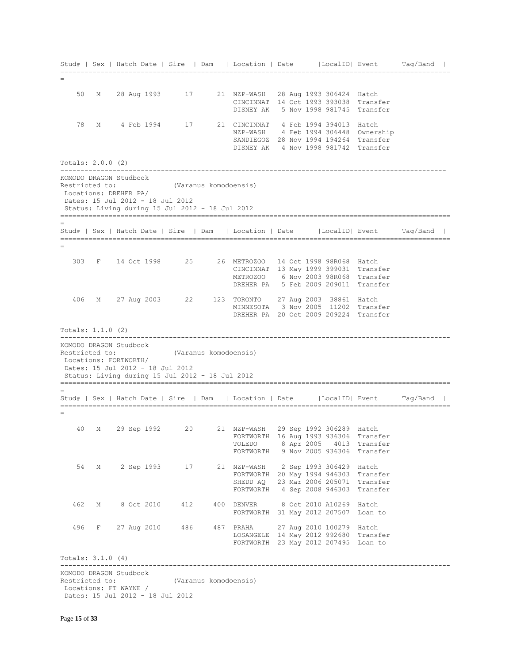|                   |   | Stud#   Sex   Hatch Date   Sire   Dam   Location   Date   LocalID  Event   Tag/Band  |                           |  |                                                                               |  |  |
|-------------------|---|--------------------------------------------------------------------------------------|---------------------------|--|-------------------------------------------------------------------------------|--|--|
|                   |   |                                                                                      |                           |  |                                                                               |  |  |
|                   |   |                                                                                      |                           |  |                                                                               |  |  |
| 50                | М | 28 Aug 1993                                                                          | 17                        |  | 21 NZP-WASH 28 Aug 1993 306424 Hatch<br>CINCINNAT 14 Oct 1993 393038 Transfer |  |  |
|                   |   |                                                                                      |                           |  | DISNEY AK 5 Nov 1998 981745 Transfer                                          |  |  |
|                   |   |                                                                                      |                           |  |                                                                               |  |  |
| 78                |   | M 4 Feb 1994 17                                                                      |                           |  | 21 CINCINNAT 4 Feb 1994 394013 Hatch                                          |  |  |
|                   |   |                                                                                      |                           |  | NZP-WASH 4 Feb 1994 306448 Ownership                                          |  |  |
|                   |   |                                                                                      |                           |  | SANDIEGOZ 28 Nov 1994 194264 Transfer<br>DISNEY AK 4 Nov 1998 981742 Transfer |  |  |
|                   |   |                                                                                      |                           |  |                                                                               |  |  |
| Totals: 2.0.0 (2) |   |                                                                                      |                           |  |                                                                               |  |  |
|                   |   | KOMODO DRAGON Studbook                                                               |                           |  |                                                                               |  |  |
|                   |   | Restricted to:                                                                       | (Varanus komodoensis)     |  |                                                                               |  |  |
|                   |   | Locations: DREHER PA/<br>Dates: 15 Jul 2012 - 18 Jul 2012                            |                           |  |                                                                               |  |  |
|                   |   | Status: Living during 15 Jul 2012 - 18 Jul 2012                                      |                           |  |                                                                               |  |  |
|                   |   |                                                                                      |                           |  |                                                                               |  |  |
|                   |   | Stud#   Sex   Hatch Date   Sire   Dam   Location   Date   LocalID  Event   Tag/Band  |                           |  |                                                                               |  |  |
|                   |   |                                                                                      |                           |  |                                                                               |  |  |
|                   |   |                                                                                      |                           |  |                                                                               |  |  |
|                   |   | 303 F 14 Oct 1998 25                                                                 |                           |  | 26 METROZOO 14 Oct 1998 98R068 Hatch                                          |  |  |
|                   |   |                                                                                      |                           |  | CINCINNAT 13 May 1999 399031 Transfer                                         |  |  |
|                   |   |                                                                                      |                           |  | METROZOO 6 Nov 2003 98R068 Transfer<br>DREHER PA 5 Feb 2009 209011 Transfer   |  |  |
|                   |   |                                                                                      |                           |  |                                                                               |  |  |
| 406               |   | M 27 Aug 2003 22 123 TORONTO 27 Aug 2003 38861 Hatch                                 |                           |  |                                                                               |  |  |
|                   |   |                                                                                      |                           |  | MINNESOTA 3 Nov 2005 11202 Transfer                                           |  |  |
|                   |   |                                                                                      |                           |  | DREHER PA 20 Oct 2009 209224 Transfer                                         |  |  |
| Totals: 1.1.0 (2) |   |                                                                                      |                           |  |                                                                               |  |  |
|                   |   |                                                                                      | ------------------------- |  |                                                                               |  |  |
|                   |   | KOMODO DRAGON Studbook<br>Restricted to:                                             | (Varanus komodoensis)     |  |                                                                               |  |  |
|                   |   | Locations: FORTWORTH/                                                                |                           |  |                                                                               |  |  |
|                   |   | Dates: 15 Jul 2012 - 18 Jul 2012                                                     |                           |  |                                                                               |  |  |
|                   |   | Status: Living during 15 Jul 2012 - 18 Jul 2012                                      |                           |  |                                                                               |  |  |
|                   |   |                                                                                      |                           |  |                                                                               |  |  |
|                   |   | Stud#   Sex   Hatch Date   Sire   Dam   Location   Date   LocalID   Event   Taq/Band |                           |  |                                                                               |  |  |
|                   |   |                                                                                      |                           |  |                                                                               |  |  |
| 40                |   | M 29 Sep 1992 20                                                                     |                           |  | 21 NZP-WASH 29 Sep 1992 306289 Hatch                                          |  |  |
|                   |   |                                                                                      |                           |  | FORTWORTH 16 Aug 1993 936306 Transfer                                         |  |  |
|                   |   |                                                                                      |                           |  | TOLEDO 8 Apr 2005 4013 Transfer                                               |  |  |
|                   |   |                                                                                      |                           |  | FORTWORTH 9 Nov 2005 936306 Transfer                                          |  |  |
| 54                |   | M 2 Sep 1993 17                                                                      |                           |  | 21 NZP-WASH 2 Sep 1993 306429 Hatch                                           |  |  |
|                   |   |                                                                                      |                           |  | FORTWORTH 20 May 1994 946303 Transfer                                         |  |  |
|                   |   |                                                                                      |                           |  | SHEDD AQ 23 Mar 2006 205071 Transfer                                          |  |  |
|                   |   |                                                                                      |                           |  | FORTWORTH 4 Sep 2008 946303 Transfer                                          |  |  |
|                   |   |                                                                                      |                           |  |                                                                               |  |  |
| 462               | M | 8 Oct 2010 412 400 DENVER 8 Oct 2010 A10269 Hatch                                    |                           |  |                                                                               |  |  |
|                   |   |                                                                                      |                           |  | FORTWORTH 31 May 2012 207507 Loan to                                          |  |  |
|                   |   | 496 F 27 Aug 2010 486 487 PRAHA 27 Aug 2010 100279 Hatch                             |                           |  |                                                                               |  |  |
|                   |   |                                                                                      |                           |  | LOSANGELE 14 May 2012 992680 Transfer                                         |  |  |
|                   |   |                                                                                      |                           |  | FORTWORTH 23 May 2012 207495 Loan to                                          |  |  |
| Totals: 3.1.0 (4) |   |                                                                                      |                           |  |                                                                               |  |  |
|                   |   |                                                                                      |                           |  |                                                                               |  |  |
|                   |   | KOMODO DRAGON Studbook                                                               |                           |  |                                                                               |  |  |
|                   |   | Restricted to:<br>Locations: FT WAYNE /                                              | (Varanus komodoensis)     |  |                                                                               |  |  |
|                   |   | Dates: 15 Jul 2012 - 18 Jul 2012                                                     |                           |  |                                                                               |  |  |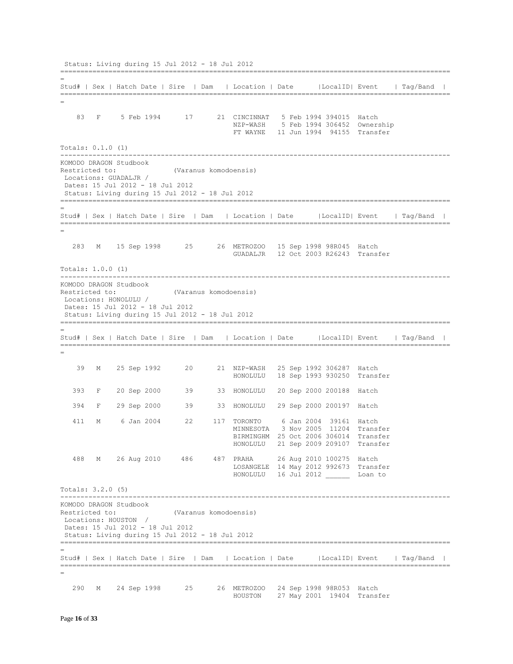Status: Living during 15 Jul 2012 - 18 Jul 2012 ================================================================================================= = Stud# | Sex | Hatch Date | Sire | Dam | Location | Date |LocalID| Event | Tag/Band | ================================================================================================= = 83 F 5 Feb 1994 17 21 CINCINNAT 5 Feb 1994 394015 Hatch NZP-WASH 5 Feb 1994 306452 Ownership FT WAYNE 11 Jun 1994 94155 Transfer Totals: 0.1.0 (1) ------------------------------------------------------------------------------------------------- KOMODO DRAGON Studbook Restricted to: (Varanus komodoensis) Locations: GUADALJR / Dates: 15 Jul 2012 - 18 Jul 2012 Status: Living during 15 Jul 2012 - 18 Jul 2012 ================================================================================================= = Stud# | Sex | Hatch Date | Sire | Dam | Location | Date |LocalID| Event | Tag/Band | ================================================================================================= = 283 M 15 Sep 1998 25 26 METROZOO 15 Sep 1998 98R045 Hatch GUADALJR 12 Oct 2003 R26243 Transfer Totals: 1.0.0 (1) ------------------------------------------------------------------------------------------------- KOMODO DRAGON Studbook Restricted to: (Varanus komodoensis) Locations: HONOLULU / Dates: 15 Jul 2012 - 18 Jul 2012 Status: Living during 15 Jul 2012 - 18 Jul 2012 ================================================================================================= = Stud# | Sex | Hatch Date | Sire | Dam | Location | Date |LocalID| Event | Tag/Band | ================================================================================================= = 39 M 25 Sep 1992 20 21 NZP-WASH 25 Sep 1992 306287 Hatch HONOLULU 18 Sep 1993 930250 Transfer 393 F 20 Sep 2000 39 33 HONOLULU 20 Sep 2000 200188 Hatch 394 F 29 Sep 2000 39 33 HONOLULU 29 Sep 2000 200197 Hatch 411 M 6 Jan 2004 22 117 TORONTO 6 Jan 2004 39161 Hatch MINNESOTA 3 Nov 2005 11204 Transfer BIRMINGHM 25 Oct 2006 306014 Transfer HONOLULU 21 Sep 2009 209107 Transfer 488 M 26 Aug 2010 486 487 PRAHA 26 Aug 2010 100275 Hatch LOSANGELE 14 May 2012 992673 Transfer HONOLULU 16 Jul 2012 \_\_\_\_\_\_ Loan to Totals: 3.2.0 (5) ------------------------------------------------------------------------------------------------- KOMODO DRAGON Studbook Restricted to: (Varanus komodoensis) Locations: HOUSTON / Dates: 15 Jul 2012 - 18 Jul 2012 Status: Living during 15 Jul 2012 - 18 Jul 2012 ================================================================================================= = Stud# | Sex | Hatch Date | Sire | Dam | Location | Date |LocalID| Event | Tag/Band | ================================================================================================= = 290 M 24 Sep 1998 25 26 METROZOO 24 Sep 1998 98R053 Hatch HOUSTON 27 May 2001 19404 Transfer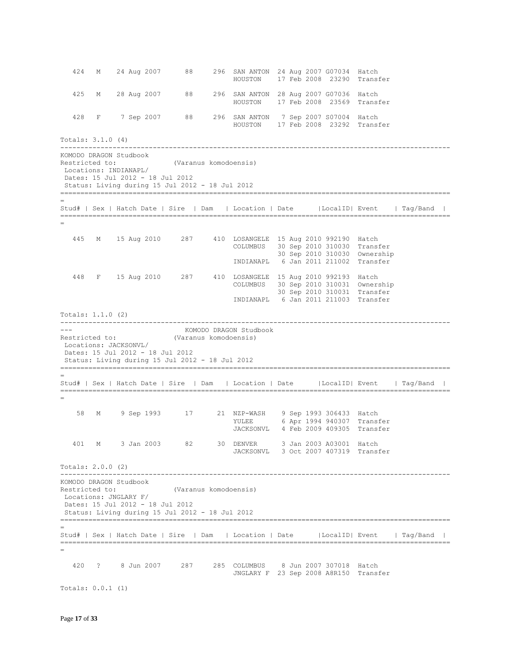424 M 24 Aug 2007 88 296 SAN ANTON 24 Aug 2007 G07034 Hatch HOUSTON 17 Feb 2008 23290 Transfer 425 M 28 Aug 2007 88 296 SAN ANTON 28 Aug 2007 G07036 Hatch HOUSTON 17 Feb 2008 23569 Transfer 428 F 7 Sep 2007 88 296 SAN ANTON 7 Sep 2007 S07004 Hatch HOUSTON 17 Feb 2008 23292 Transfer Totals: 3.1.0 (4) ------------------------------------------------------------------------------------------------- KOMODO DRAGON Studbook Restricted to: (Varanus komodoensis) Locations: INDIANAPL/ Dates: 15 Jul 2012 - 18 Jul 2012 Status: Living during 15 Jul 2012 - 18 Jul 2012 ================================================================================================= = Stud# | Sex | Hatch Date | Sire | Dam | Location | Date |LocalID| Event | Tag/Band | ================================================================================================= = 445 M 15 Aug 2010 287 410 LOSANGELE 15 Aug 2010 992190 Hatch COLUMBUS 30 Sep 2010 310030 Transfer 30 Sep 2010 310030 Ownership INDIANAPL 6 Jan 2011 211002 Transfer 448 F 15 Aug 2010 287 410 LOSANGELE 15 Aug 2010 992193 Hatch COLUMBUS 30 Sep 2010 310031 Ownership 30 Sep 2010 310031 Transfer INDIANAPL 6 Jan 2011 211003 Transfer Totals: 1.1.0 (2) ------------------------------------------------------------------------------------------------- --- KOMODO DRAGON Studbook Restricted to: (Varanus komodoensis) Locations: JACKSONVL/ Dates: 15 Jul 2012 - 18 Jul 2012 Status: Living during 15 Jul 2012 - 18 Jul 2012 ================================================================================================= = Stud# | Sex | Hatch Date | Sire | Dam | Location | Date |LocalID| Event | Tag/Band | ================================================================================================= = 58 M 9 Sep 1993 17 21 NZP-WASH 9 Sep 1993 306433 Hatch YULEE 6 Apr 1994 940307 Transfer JACKSONVL 4 Feb 2009 409305 Transfer 401 M 3 Jan 2003 82 30 DENVER 3 Jan 2003 A03001 Hatch JACKSONVL 3 Oct 2007 407319 Transfer Totals: 2.0.0 (2) ------------------------------------------------------------------------------------------------- KOMODO DRAGON Studbook Restricted to: (Varanus komodoensis) Locations: JNGLARY F/ Dates: 15 Jul 2012 - 18 Jul 2012 Status: Living during 15 Jul 2012 - 18 Jul 2012 ================================================================================================= = Stud# | Sex | Hatch Date | Sire | Dam | Location | Date |LocalID| Event | Tag/Band | ================================================================================================= = 420 ? 8 Jun 2007 287 285 COLUMBUS 8 Jun 2007 307018 Hatch JNGLARY F 23 Sep 2008 A8R150 Transfer

Totals: 0.0.1 (1)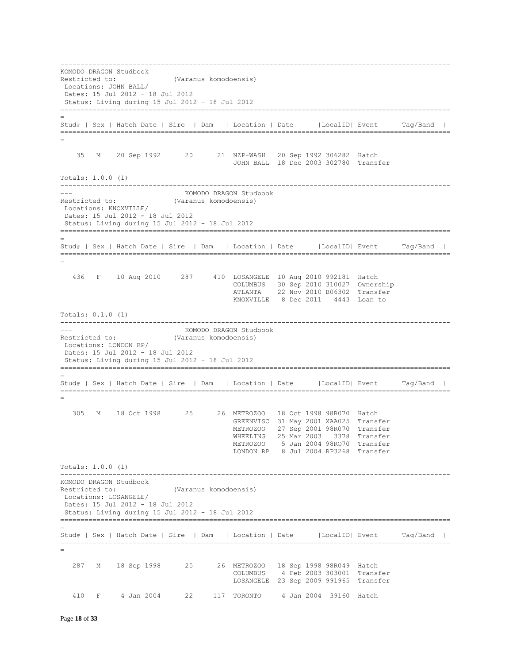------------------------------------------------------------------------------------------------- KOMODO DRAGON Studbook Restricted to: (Varanus komodoensis) Locations: JOHN BALL/ Dates: 15 Jul 2012 - 18 Jul 2012 Status: Living during 15 Jul 2012 - 18 Jul 2012 ================================================================================================= = Stud# | Sex | Hatch Date | Sire | Dam | Location | Date |LocalID| Event | Tag/Band | ================================================================================================= = 35 M 20 Sep 1992 20 21 NZP-WASH 20 Sep 1992 306282 Hatch JOHN BALL 18 Dec 2003 302780 Transfer Totals: 1.0.0 (1) ------------------------------------------------------------------------------------------------- --- KOMODO DRAGON Studbook Restricted to: (Varanus komodoensis) Locations: KNOXVILLE/ Dates: 15 Jul 2012 - 18 Jul 2012 Status: Living during 15 Jul 2012 - 18 Jul 2012 ================================================================================================= = Stud# | Sex | Hatch Date | Sire | Dam | Location | Date |LocalID| Event | Tag/Band | ================================================================================================= = 436 F 10 Aug 2010 287 410 LOSANGELE 10 Aug 2010 992181 Hatch COLUMBUS 30 Sep 2010 310027 Ownership ATLANTA 22 Nov 2010 B06302 Transfer KNOXVILLE 8 Dec 2011 4443 Loan to Totals: 0.1.0 (1) ------------------------------------------------------------------------------------------------- --- KOMODO DRAGON Studbook Restricted to: (Varanus komodoensis) Locations: LONDON RP/ Dates: 15 Jul 2012 - 18 Jul 2012 Status: Living during 15 Jul 2012 - 18 Jul 2012 ================================================================================================= = Stud# | Sex | Hatch Date | Sire | Dam | Location | Date |LocalID| Event | Tag/Band | ================================================================================================= = 305 M 18 Oct 1998 25 26 METROZOO 18 Oct 1998 98R070 Hatch GREENVISC 31 May 2001 XAA025 Transfer METROZOO 27 Sep 2001 98R070 Transfer WHEELING 25 Mar 2003 3378 Transfer METROZOO 5 Jan 2004 98RO70 Transfer LONDON RP 8 Jul 2004 RP3268 Transfer Totals: 1.0.0 (1) ------------------------------------------------------------------------------------------------- KOMODO DRAGON Studbook Restricted to: (Varanus komodoensis) Locations: LOSANGELE/ Dates: 15 Jul 2012 - 18 Jul 2012 Status: Living during 15 Jul 2012 - 18 Jul 2012 ================================================================================================= = Stud# | Sex | Hatch Date | Sire | Dam | Location | Date |LocalID| Event | Tag/Band | ================================================================================================= = 287 M 18 Sep 1998 25 26 METROZOO 18 Sep 1998 98R049 Hatch COLUMBUS 4 Feb 2003 303001 Transfer LOSANGELE 23 Sep 2009 991965 Transfer 410 F 4 Jan 2004 22 117 TORONTO 4 Jan 2004 39160 Hatch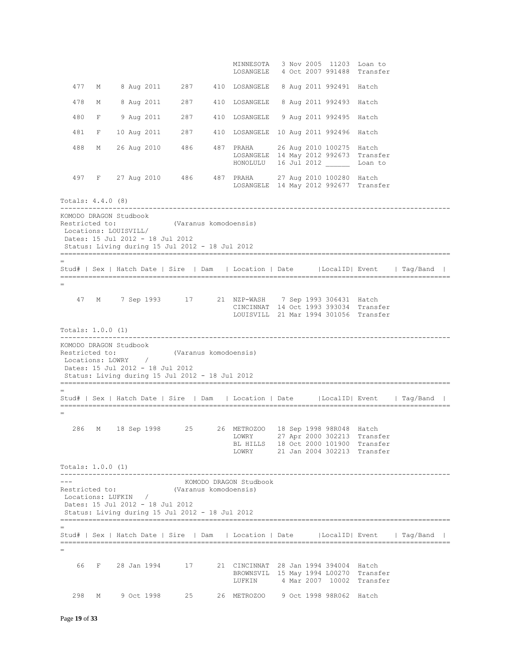MINNESOTA 3 Nov 2005 11203 Loan to LOSANGELE 4 Oct 2007 991488 Transfer 477 M 8 Aug 2011 287 410 LOSANGELE 8 Aug 2011 992491 Hatch 478 M 8 Aug 2011 287 410 LOSANGELE 8 Aug 2011 992493 Hatch 480 F 9 Aug 2011 287 410 LOSANGELE 9 Aug 2011 992495 Hatch 481 F 10 Aug 2011 287 410 LOSANGELE 10 Aug 2011 992496 Hatch 488 M 26 Aug 2010 486 487 PRAHA 26 Aug 2010 100275 Hatch LOSANGELE 14 May 2012 992673 Transfer HONOLULU 16 Jul 2012 \_\_\_\_\_\_ Loan to 497 F 27 Aug 2010 486 487 PRAHA PRAHA 27 Aug 2010 100280 Hatch<br>LOSANGELE 14 May 2012 992677 Transfer Totals: 4.4.0 (8) ------------------------------------------------------------------------------------------------- KOMODO DRAGON Studbook Restricted to: (Varanus komodoensis) Locations: LOUISVILL/ Dates: 15 Jul 2012 - 18 Jul 2012 Status: Living during 15 Jul 2012 - 18 Jul 2012 ================================================================================================= = Stud# | Sex | Hatch Date | Sire | Dam | Location | Date |LocalID| Event | Tag/Band | ================================================================================================= = 47 M 7 Sep 1993 17 21 NZP-WASH 7 Sep 1993 306431 Hatch CINCINNAT 14 Oct 1993 393034 Transfer LOUISVILL 21 Mar 1994 301056 Transfer Totals: 1.0.0 (1) ------------------------------------------------------------------------------------------------- KOMODO DRAGON Studbook Restricted to: (Varanus komodoensis)<br>
Locations: LOWRY / Locations: LOWRY Dates: 15 Jul 2012 - 18 Jul 2012 Status: Living during 15 Jul 2012 - 18 Jul 2012 ================================================================================================= = Stud# | Sex | Hatch Date | Sire | Dam | Location | Date |LocalID| Event | Tag/Band | ================================================================================================= = 286 M 18 Sep 1998 25 26 METROZOO 18 Sep 1998 98R048 Hatch LOWRY 27 Apr 2000 302213 Transfer BL HILLS 18 Oct 2000 101900 Transfer LOWRY 21 Jan 2004 302213 Transfer Totals: 1.0.0 (1) ------------------------------------------------------------------------------------------------- --- KOMODO DRAGON Studbook Restricted to: (Varanus komodoensis) Locations: LUFKIN / Dates: 15 Jul 2012 - 18 Jul 2012 Status: Living during 15 Jul 2012 - 18 Jul 2012 ================================================================================================= = Stud# | Sex | Hatch Date | Sire | Dam | Location | Date |LocalID| Event | Tag/Band | ================================================================================================= = 66 F 28 Jan 1994 17 21 CINCINNAT 28 Jan 1994 394004 Hatch BROWNSVIL 15 May 1994 L00270 Transfer LUFKIN 4 Mar 2007 10002 Transfer 298 M 9 Oct 1998 25 26 METROZOO 9 Oct 1998 98R062 Hatch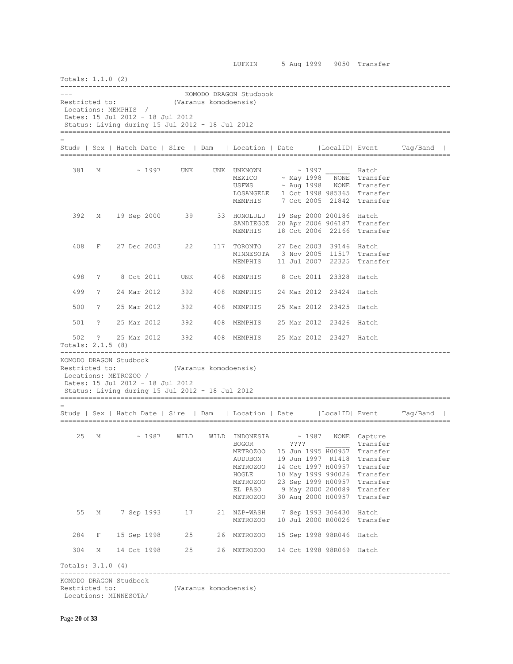| Totals: 1.1.0 (2)                                                 |             |               |             |                                                                                     |                       |                                                                                                                                      |      |             |                          |                                                                                                                                                                                                                                                 |                                                                                     |  |
|-------------------------------------------------------------------|-------------|---------------|-------------|-------------------------------------------------------------------------------------|-----------------------|--------------------------------------------------------------------------------------------------------------------------------------|------|-------------|--------------------------|-------------------------------------------------------------------------------------------------------------------------------------------------------------------------------------------------------------------------------------------------|-------------------------------------------------------------------------------------|--|
| Restricted to:<br>Locations: MEMPHIS /                            |             |               |             | Dates: 15 Jul 2012 - 18 Jul 2012<br>Status: Living during 15 Jul 2012 - 18 Jul 2012 | (Varanus komodoensis) | KOMODO DRAGON Studbook                                                                                                               |      |             |                          |                                                                                                                                                                                                                                                 |                                                                                     |  |
|                                                                   |             |               |             |                                                                                     |                       |                                                                                                                                      |      |             |                          |                                                                                                                                                                                                                                                 | Stud#   Sex   Hatch Date   Sire   Dam   Location   Date   LocalID  Event   Tag/Band |  |
| 381                                                               | M           |               |             | $\sim$ 1997 UNK                                                                     |                       | UNK UNKNOWN<br>MEXICO<br>USFWS ~ Aug 1998 NONE Transfer<br>LOSANGELE 1 Oct 1998 985365 Transfer<br>MEMPHIS 7 Oct 2005 21842 Transfer |      |             | $\sim$ 1997 Hatch        | ~ May 1998 NONE Transfer                                                                                                                                                                                                                        |                                                                                     |  |
| 392                                                               | М           | 19 Sep 2000   |             | 39                                                                                  |                       | 33 HONOLULU 19 Sep 2000 200186 Hatch<br>SANDIEGOZ 20 Apr 2006 906187 Transfer<br>MEMPHIS                                             |      |             |                          | 18 Oct 2006 22166 Transfer                                                                                                                                                                                                                      |                                                                                     |  |
| 408                                                               |             | F 27 Dec 2003 |             | 22                                                                                  |                       | 117 TORONTO<br>MINNESOTA 3 Nov 2005 11517 Transfer<br>MEMPHIS                                                                        |      |             | 27 Dec 2003 39146 Hatch  | 11 Jul 2007 22325 Transfer                                                                                                                                                                                                                      |                                                                                     |  |
| 498                                                               | $\tilde{z}$ | 8 Oct 2011    |             | UNK                                                                                 |                       | 408 MEMPHIS 8 Oct 2011 23328 Hatch                                                                                                   |      |             |                          |                                                                                                                                                                                                                                                 |                                                                                     |  |
| 499                                                               | $\tilde{ }$ |               |             | 24 Mar 2012 392                                                                     |                       | 408 MEMPHIS                                                                                                                          |      |             | 24 Mar 2012 23424 Hatch  |                                                                                                                                                                                                                                                 |                                                                                     |  |
| 500                                                               | $\tilde{z}$ |               |             | 25 Mar 2012 392                                                                     |                       | 408 MEMPHIS 25 Mar 2012 23425 Hatch                                                                                                  |      |             |                          |                                                                                                                                                                                                                                                 |                                                                                     |  |
| 501                                                               | $\tilde{ }$ |               |             | 25 Mar 2012 392                                                                     |                       | 408 MEMPHIS 25 Mar 2012 23426 Hatch                                                                                                  |      |             |                          |                                                                                                                                                                                                                                                 |                                                                                     |  |
| 502<br>Totals: 2.1.5 (8)                                          |             |               |             |                                                                                     |                       | ? 25 Mar 2012 392 408 MEMPHIS 25 Mar 2012 23427 Hatch                                                                                |      |             |                          |                                                                                                                                                                                                                                                 |                                                                                     |  |
| KOMODO DRAGON Studbook<br>Restricted to:<br>Locations: METROZOO / |             |               |             | Dates: 15 Jul 2012 - 18 Jul 2012<br>Status: Living during 15 Jul 2012 - 18 Jul 2012 | (Varanus komodoensis) |                                                                                                                                      |      |             |                          |                                                                                                                                                                                                                                                 |                                                                                     |  |
|                                                                   |             |               |             |                                                                                     |                       | Stud#   Sex   Hatch Date   Sire   Dam   Location   Date   LocalID   Event   Tag/Band                                                 |      |             |                          |                                                                                                                                                                                                                                                 |                                                                                     |  |
| 25                                                                | М           |               | $\sim 1987$ | WILD                                                                                |                       | WILD INDONESIA<br><b>BOGOR</b><br>METROZOO<br>AUDUBON<br>METROZOO<br>HOGLE<br>METROZOO<br>EL PASO<br>METROZOO                        | ???? | $\sim$ 1987 |                          | NONE Capture<br>Transfer<br>15 Jun 1995 H00957 Transfer<br>19 Jun 1997 R1418 Transfer<br>14 Oct 1997 H00957 Transfer<br>10 May 1999 990026 Transfer<br>23 Sep 1999 H00957 Transfer<br>9 May 2000 200089 Transfer<br>30 Aug 2000 H00957 Transfer |                                                                                     |  |
| 55                                                                | М           | 7 Sep 1993    |             | 17                                                                                  |                       | 21 NZP-WASH<br>METROZOO                                                                                                              |      |             | 7 Sep 1993 306430 Hatch  | 10 Jul 2000 R00026 Transfer                                                                                                                                                                                                                     |                                                                                     |  |
| 284                                                               | F           |               |             | 15 Sep 1998<br>25                                                                   |                       | 26 METROZOO                                                                                                                          |      |             | 15 Sep 1998 98R046 Hatch |                                                                                                                                                                                                                                                 |                                                                                     |  |
| 304                                                               | М           |               |             | 14 Oct 1998<br>25                                                                   |                       | 26 METROZOO 14 Oct 1998 98R069 Hatch                                                                                                 |      |             |                          |                                                                                                                                                                                                                                                 |                                                                                     |  |
| Totals: $3.1.0$ (4)                                               |             |               |             |                                                                                     |                       |                                                                                                                                      |      |             |                          |                                                                                                                                                                                                                                                 |                                                                                     |  |
|                                                                   |             |               |             |                                                                                     |                       |                                                                                                                                      |      |             |                          |                                                                                                                                                                                                                                                 |                                                                                     |  |

KOMODO DRAGON Studbook

Restricted to: (Varanus komodoensis) Locations: MINNESOTA/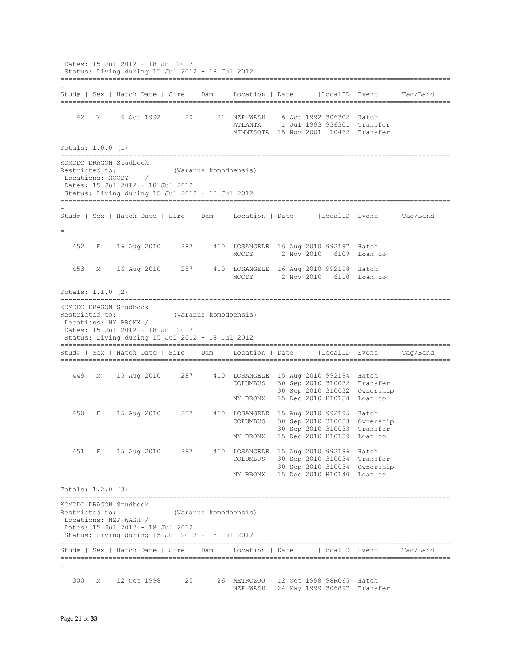Dates: 15 Jul 2012 - 18 Jul 2012 Status: Living during 15 Jul 2012 - 18 Jul 2012 ================================================================================================= = Stud# | Sex | Hatch Date | Sire | Dam | Location | Date |LocalID| Event | Tag/Band | ================================================================================================= 42 M 6 Oct 1992 20 21 NZP-WASH 6 Oct 1992 306302 Hatch ATLANTA 1 Jul 1993 936301 Transfer MINNESOTA 15 Nov 2001 10462 Transfer Totals: 1.0.0 (1) ------------------------------------------------------------------------------------------------- KOMODO DRAGON Studbook Restricted to: (Varanus komodoensis)<br>
Locations: MOODY / Locations: MOODY / Dates: 15 Jul 2012 - 18 Jul 2012 Status: Living during 15 Jul 2012 - 18 Jul 2012 ================================================================================================= = Stud# | Sex | Hatch Date | Sire | Dam | Location | Date |LocalID| Event | Tag/Band | ================================================================================================= = 452 F 16 Aug 2010 287 410 LOSANGELE 16 Aug 2010 992197 Hatch MOODY 2 Nov 2010 6109 Loan to 453 M 16 Aug 2010 287 410 LOSANGELE 16 Aug 2010 992198 Hatch MOODY 2 Nov 2010 6110 Loan to Totals: 1.1.0 (2) ------------------------------------------------------------------------------------------------- KOMODO DRAGON Studbook Restricted to: (Varanus komodoensis) Locations: NY BRONX / Dates: 15 Jul 2012 - 18 Jul 2012 Status: Living during 15 Jul 2012 - 18 Jul 2012 ================================================================================================= Stud# | Sex | Hatch Date | Sire | Dam | Location | Date |LocalID| Event | Tag/Band | ================================================================================================= 449 M 15 Aug 2010 287 410 LOSANGELE 15 Aug 2010 992194 Hatch COLUMBUS 30 Sep 2010 310032 Transfer 30 Sep 2010 310032 Ownership NY BRONX 15 Dec 2010 H10138 Loan to 450 F 15 Aug 2010 287 410 LOSANGELE 15 Aug 2010 992195 Hatch COLUMBUS 30 Sep 2010 310033 Ownership 30 Sep 2010 310033 Transfer NY BRONX 15 Dec 2010 H10139 Loan to 451 F 15 Aug 2010 287 410 LOSANGELE 15 Aug 2010 992196 Hatch COLUMBUS 30 Sep 2010 310034 Transfer 30 Sep 2010 310034 Ownership NY BRONX 15 Dec 2010 H10140 Loan to Totals: 1.2.0 (3) ------------------------------------------------------------------------------------------------- KOMODO DRAGON Studbook Restricted to: (Varanus komodoensis) Locations: NZP-WASH / Dates: 15 Jul 2012 - 18 Jul 2012 Status: Living during 15 Jul 2012 - 18 Jul 2012 ================================================================================================= Stud# | Sex | Hatch Date | Sire | Dam | Location | Date |LocalID| Event | Tag/Band | ================================================================================================= = 300 M 12 Oct 1998 25 26 METROZOO 12 Oct 1998 98R065 Hatch NZP-WASH 24 May 1999 306897 Transfer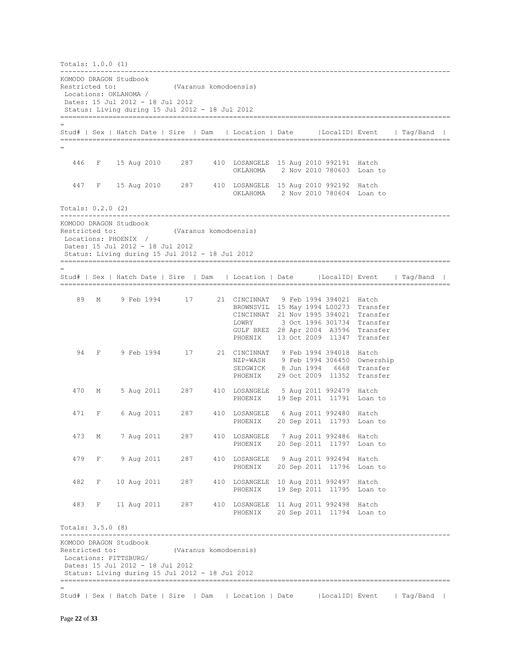| Totals: 1.0.0 (1)                        |              |                       |            |                                                                                                              |                       |                                                                                                                                                                                                               |  |                         |                                                        |                                                                                        |  |
|------------------------------------------|--------------|-----------------------|------------|--------------------------------------------------------------------------------------------------------------|-----------------------|---------------------------------------------------------------------------------------------------------------------------------------------------------------------------------------------------------------|--|-------------------------|--------------------------------------------------------|----------------------------------------------------------------------------------------|--|
| KOMODO DRAGON Studbook<br>Restricted to: |              | Locations: OKLAHOMA / |            | Dates: 15 Jul 2012 - 18 Jul 2012<br>Status: Living during 15 Jul 2012 - 18 Jul 2012                          | (Varanus komodoensis) |                                                                                                                                                                                                               |  |                         |                                                        |                                                                                        |  |
|                                          |              |                       |            |                                                                                                              |                       |                                                                                                                                                                                                               |  |                         |                                                        | Stud#   Sex   Hatch Date   Sire   Dam   Location   Date     LocalID   Event   Tag/Band |  |
|                                          |              |                       |            |                                                                                                              |                       |                                                                                                                                                                                                               |  |                         |                                                        |                                                                                        |  |
| 446                                      |              |                       |            |                                                                                                              |                       | F 15 Aug 2010 287 410 LOSANGELE 15 Aug 2010 992191 Hatch<br>OKLAHOMA                                                                                                                                          |  |                         | 2 Nov 2010 780603 Loan to                              |                                                                                        |  |
| 447                                      |              |                       |            |                                                                                                              |                       | F 15 Aug 2010 287 410 LOSANGELE 15 Aug 2010 992192 Hatch<br>OKLAHOMA 2 Nov 2010 780604 Loan to                                                                                                                |  |                         |                                                        |                                                                                        |  |
| Totals: 0.2.0 (2)                        |              |                       |            |                                                                                                              |                       |                                                                                                                                                                                                               |  |                         |                                                        |                                                                                        |  |
| KOMODO DRAGON Studbook<br>Restricted to: |              | Locations: PHOENIX /  |            | Dates: 15 Jul 2012 - 18 Jul 2012<br>Status: Living during 15 Jul 2012 - 18 Jul 2012                          | (Varanus komodoensis) |                                                                                                                                                                                                               |  |                         |                                                        |                                                                                        |  |
|                                          |              |                       |            |                                                                                                              |                       |                                                                                                                                                                                                               |  |                         |                                                        | Stud#   Sex   Hatch Date   Sire   Dam   Location   Date   LocalID   Event   Tag/Band   |  |
|                                          |              |                       |            |                                                                                                              |                       |                                                                                                                                                                                                               |  |                         |                                                        |                                                                                        |  |
| 89                                       | М            |                       |            | 9 Feb 1994 17                                                                                                |                       | 21 CINCINNAT 9 Feb 1994 394021 Hatch<br>BROWNSVIL 15 May 1994 L00273 Transfer<br>CINCINNAT 21 Nov 1995 394021 Transfer<br>LOWRY<br>GULF BREZ 28 Apr 2004 A3596 Transfer<br>PHOENIX 13 Oct 2009 11347 Transfer |  |                         | 3 Oct 1996 301734 Transfer                             |                                                                                        |  |
| 94                                       | $-$ F $-$    |                       |            | 9 Feb 1994 17                                                                                                |                       | 21 CINCINNAT 9 Feb 1994 394018 Hatch<br>NZP-WASH 9 Feb 1994 306450 Ownership<br>SEDGWICK<br>PHOENIX                                                                                                           |  |                         | 8 Jun 1994 6668 Transfer<br>29 Oct 2009 11352 Transfer |                                                                                        |  |
| 470                                      | М            |                       |            | 5 Aug 2011 287                                                                                               |                       | 410 LOSANGELE<br>PHOENIX                                                                                                                                                                                      |  | 5 Aug 2011 992479 Hatch | 19 Sep 2011 11791 Loan to                              |                                                                                        |  |
| 471                                      | F            |                       |            | 6 Aug 2011 287                                                                                               |                       | 410 LOSANGELE 6 Aug 2011 992480 Hatch<br>PHOENIX                                                                                                                                                              |  |                         | 20 Sep 2011 11793 Loan to                              |                                                                                        |  |
| 473                                      | M            |                       | 7 Aug 2011 | 287                                                                                                          |                       | 410 LOSANGELE 7 Aug 2011 992486 Hatch<br>PHOENIX                                                                                                                                                              |  |                         | 20 Sep 2011 11797 Loan to                              |                                                                                        |  |
| 479                                      |              |                       |            | F 9 Aug 2011 287                                                                                             |                       | 410 LOSANGELE 9 Aug 2011 992494 Hatch<br>PHOENIX                                                                                                                                                              |  |                         | 20 Sep 2011 11796 Loan to                              |                                                                                        |  |
| 482                                      | $-$ F        |                       |            |                                                                                                              |                       | 10 Aug 2011 287 410 LOSANGELE 10 Aug 2011 992497 Hatch<br>PHOENIX 19 Sep 2011 11795 Loan to                                                                                                                   |  |                         |                                                        |                                                                                        |  |
| 483                                      | $\mathbf{F}$ |                       |            |                                                                                                              |                       | 11 Aug 2011 287 410 LOSANGELE 11 Aug 2011 992498 Hatch<br>PHOENIX 20 Sep 2011 11794 Loan to                                                                                                                   |  |                         |                                                        |                                                                                        |  |
| Totals: 3.5.0 (8)                        |              |                       |            |                                                                                                              |                       |                                                                                                                                                                                                               |  |                         |                                                        |                                                                                        |  |
| KOMODO DRAGON Studbook<br>Restricted to: |              | Locations: PITTSBURG/ |            | (Varanus komodoensis)<br>Dates: 15 Jul 2012 - 18 Jul 2012<br>Status: Living during 15 Jul 2012 - 18 Jul 2012 |                       |                                                                                                                                                                                                               |  |                         |                                                        |                                                                                        |  |
|                                          |              |                       |            |                                                                                                              |                       |                                                                                                                                                                                                               |  |                         |                                                        | Stud#   Sex   Hatch Date   Sire   Dam   Location   Date   LocalID  Event   Tag/Band    |  |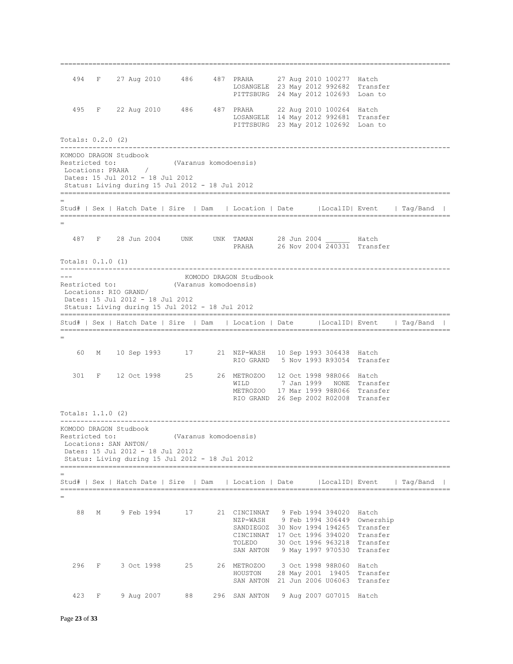494 F 27 Aug 2010 486 487 PRAHA 27 Aug 2010 100277 Hatch LOSANGELE 23 May 2012 992682 Transfer PITTSBURG 24 May 2012 102693 Loan to 495 F 22 Aug 2010 486 487 PRAHA 22 Aug 2010 100264 Hatch LOSANGELE 14 May 2012 992681 Transfer PITTSBURG 23 May 2012 102692 Loan to Totals: 0.2.0 (2) ------------------------------------------------------------------------------------------------- KOMODO DRAGON Studbook Restricted to: (Varanus komodoensis)<br>
Locations: PRAHA / Locations: PRAHA Dates: 15 Jul 2012 - 18 Jul 2012 Status: Living during 15 Jul 2012 - 18 Jul 2012 ================================================================================================= = Stud# | Sex | Hatch Date | Sire | Dam | Location | Date |LocalID| Event | Tag/Band | ================================================================================================= = 487 F 28 Jun 2004 UNK UNK TAMAN 28 Jun 2004 \_\_\_\_\_\_ Hatch PRAHA 26 Nov 2004 240331 Transfer Totals: 0.1.0 (1) ------------------------------------------------------------------------------------------------- KOMODO DRAGON Studbook Restricted to: (Varanus komodoensis) Locations: RIO GRAND/ Dates: 15 Jul 2012 - 18 Jul 2012 Status: Living during 15 Jul 2012 - 18 Jul 2012 ================================================================================================= Stud# | Sex | Hatch Date | Sire | Dam | Location | Date |LocalID| Event | Tag/Band | ================================================================================================= = 60 M 10 Sep 1993 17 21 NZP-WASH 10 Sep 1993 306438 Hatch RIO GRAND 5 Nov 1993 R93054 Transfer 301 F 12 Oct 1998 25 26 METROZOO 12 Oct 1998 98R066 Hatch WILD 7 Jan 1999 NONE Transfer METROZOO 17 Mar 1999 98R066 Transfer RIO GRAND 26 Sep 2002 R02008 Transfer Totals: 1.1.0 (2) ------------------------------------------------------------------------------------------------- KOMODO DRAGON Studbook Restricted to: (Varanus komodoensis) Locations: SAN ANTON/ Dates: 15 Jul 2012 - 18 Jul 2012 Status: Living during 15 Jul 2012 - 18 Jul 2012 ================================================================================================= = Stud# | Sex | Hatch Date | Sire | Dam | Location | Date |LocalID| Event | Tag/Band | ================================================================================================= = 88 M 9 Feb 1994 17 21 CINCINNAT 9 Feb 1994 394020 Hatch NZP-WASH 9 Feb 1994 306449 Ownership SANDIEGOZ 30 Nov 1994 194265 Transfer CINCINNAT 17 Oct 1996 394020 Transfer TOLEDO 30 Oct 1996 963218 Transfer SAN ANTON 9 May 1997 970530 Transfer 296 F 3 Oct 1998 25 26 METROZOO 3 Oct 1998 98R060 Hatch HOUSTON 28 May 2001 19405 Transfer SAN ANTON 21 Jun 2006 U06063 Transfer 423 F 9 Aug 2007 88 296 SAN ANTON 9 Aug 2007 G07015 Hatch

=================================================================================================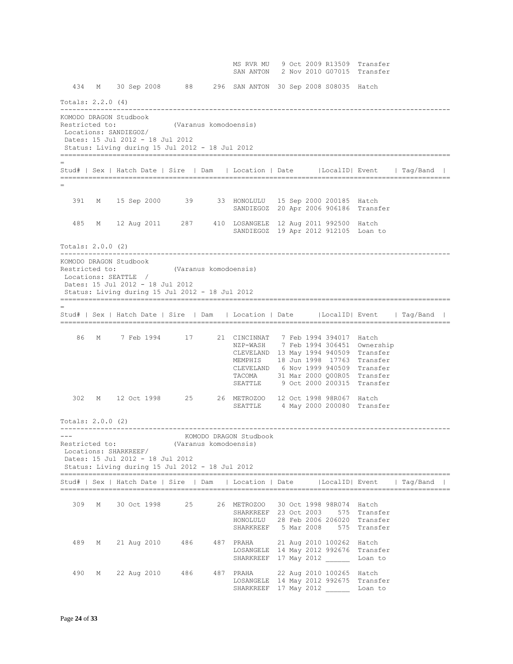MS RVR MU 9 Oct 2009 R13509 Transfer SAN ANTON 2 Nov 2010 G07015 Transfer 434 M 30 Sep 2008 88 296 SAN ANTON 30 Sep 2008 S08035 Hatch Totals: 2.2.0 (4) ------------------------------------------------------------------------------------------------- KOMODO DRAGON Studbook Restricted to: (Varanus komodoensis) Locations: SANDIEGOZ/ Dates: 15 Jul 2012 - 18 Jul 2012 Status: Living during 15 Jul 2012 - 18 Jul 2012 ================================================================================================= = Stud# | Sex | Hatch Date | Sire | Dam | Location | Date |LocalID| Event | Tag/Band | ================================================================================================= = 391 M 15 Sep 2000 39 33 HONOLULU 15 Sep 2000 200185 Hatch SANDIEGOZ 20 Apr 2006 906186 Transfer 485 M 12 Aug 2011 287 410 LOSANGELE 12 Aug 2011 992500 Hatch SANDIEGOZ 19 Apr 2012 912105 Loan to Totals: 2.0.0 (2) ------------------------------------------------------------------------------------------------- KOMODO DRAGON Studbook Restricted to: (Varanus komodoensis) Locations: SEATTLE / Dates: 15 Jul 2012 - 18 Jul 2012 Status: Living during 15 Jul 2012 - 18 Jul 2012 ================================================================================================= = Stud# | Sex | Hatch Date | Sire | Dam | Location | Date |LocalID| Event | Tag/Band | ================================================================================================= 86 M 7 Feb 1994 17 21 CINCINNAT 7 Feb 1994 394017 Hatch NZP-WASH 7 Feb 1994 306451 Ownership CLEVELAND 13 May 1994 940509 Transfer MEMPHIS 18 Jun 1998 17763 Transfer CLEVELAND 6 Nov 1999 940509 Transfer TACOMA 31 Mar 2000 Q00R05 Transfer SEATTLE 9 Oct 2000 200315 Transfer 302 M 12 Oct 1998 25 26 METROZOO 12 Oct 1998 98R067 Hatch SEATTLE 4 May 2000 200080 Transfer Totals: 2.0.0 (2) ------------------------------------------------------------------------------------------------- --- KOMODO DRAGON Studbook Restricted to: (Varanus komodoensis) Locations: SHARKREEF/ Dates: 15 Jul 2012 - 18 Jul 2012 Status: Living during 15 Jul 2012 - 18 Jul 2012 ================================================================================================= Stud# | Sex | Hatch Date | Sire | Dam | Location | Date |LocalID| Event | Tag/Band | ================================================================================================= 309 M 30 Oct 1998 25 26 METROZOO 30 Oct 1998 98R074 Hatch SHARKREEF 23 Oct 2003 575 Transfer HONOLULU 28 Feb 2006 206020 Transfer SHARKREEF 5 Mar 2008 575 Transfer 489 M 21 Aug 2010 486 487 PRAHA 21 Aug 2010 100262 Hatch LOSANGELE 14 May 2012 992676 Transfer SHARKREEF 17 May 2012 \_\_\_\_\_\_ Loan to 490 M 22 Aug 2010 486 487 PRAHA 22 Aug 2010 100265 Hatch LOSANGELE 14 May 2012 992675 Transfer SHARKREEF 17 May 2012 Loan to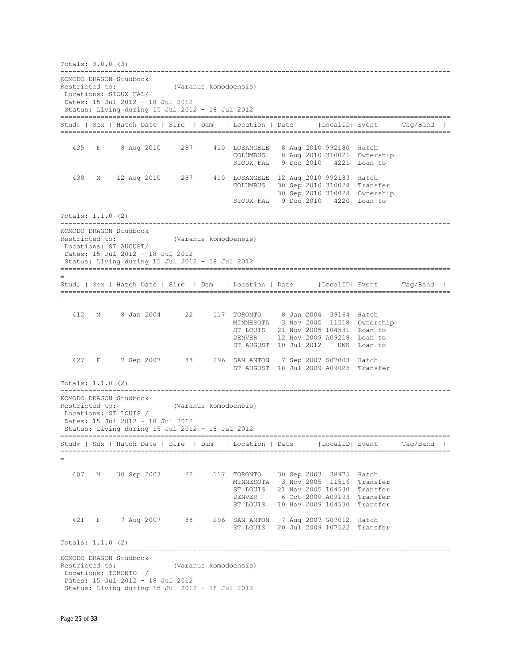Totals: 3.0.0 (3) ------------------------------------------------------------------------------------------------- KOMODO DRAGON Studbook Restricted to: (Varanus komodoensis) Locations: SIOUX FAL/ Dates: 15 Jul 2012 - 18 Jul 2012 Status: Living during 15 Jul 2012 - 18 Jul 2012 ================================================================================================= Stud# | Sex | Hatch Date | Sire | Dam | Location | Date |LocalID| Event | Tag/Band | ================================================================================================= 435 F 8 Aug 2010 287 410 LOSANGELE 8 Aug 2010 992180 Hatch COLUMBUS 8 Aug 2010 310026 Ownership SIOUX FAL 9 Dec 2010 4221 Loan to 438 M 12 Aug 2010 287 410 LOSANGELE 12 Aug 2010 992183 Hatch COLUMBUS 30 Sep 2010 310028 Transfer 30 Sep 2010 310028 Ownership SIOUX FAL 9 Dec 2010 4220 Loan to Totals: 1.1.0 (2) ------------------------------------------------------------------------------------------------- KOMODO DRAGON Studbook Restricted to: (Varanus komodoensis) Locations: ST AUGUST/ Dates: 15 Jul 2012 - 18 Jul 2012 Status: Living during 15 Jul 2012 - 18 Jul 2012 ================================================================================================= = Stud# | Sex | Hatch Date | Sire | Dam | Location | Date |LocalID| Event | Tag/Band | ================================================================================================= = 412 M 8 Jan 2004 22 117 TORONTO MINNESOTA 3 Nov 2005 11518 Ownership ST LOUIS 21 Nov 2005 104531 Loan to DENVER 12 Nov 2009 A09218 Loan to ST AUGUST 10 Jul 2012 UNK Loan to 427 F 7 Sep 2007 88 296 SAN ANTON 7 Sep 2007 S07003 Hatch ST AUGUST 18 Jul 2009 A09025 Transfer Totals: 1.1.0 (2) ------------------------------------------------------------------------------------------------- KOMODO DRAGON Studbook Restricted to: (Varanus komodoensis) Locations: ST LOUIS / Dates: 15 Jul 2012 - 18 Jul 2012 Status: Living during 15 Jul 2012 - 18 Jul 2012 ================================================================================================= Stud# | Sex | Hatch Date | Sire | Dam | Location | Date |LocalID| Event | Tag/Band | ================================================================================================= = 407 M 30 Sep 2003 22 117 TORONTO 30 Sep 2003 38975 Hatch MINNESOTA 3 Nov 2005 11516 Transfer ST LOUIS 21 Nov 2005 104530 Transfer DENVER 6 Oct 2009 A09193 Transfer ST LOUIS 10 Nov 2009 104530 Transfer 421 F 7 Aug 2007 88 296 SAN ANTON 7 Aug 2007 G07012 Hatch ST LOUIS 20 Jul 2009 107522 Transfer Totals: 1.1.0 (2) ------------------------------------------------------------------------------------------------- KOMODO DRAGON Studbook Restricted to: (Varanus komodoensis) Locations: TORONTO / Dates: 15 Jul 2012 - 18 Jul 2012 Status: Living during 15 Jul 2012 - 18 Jul 2012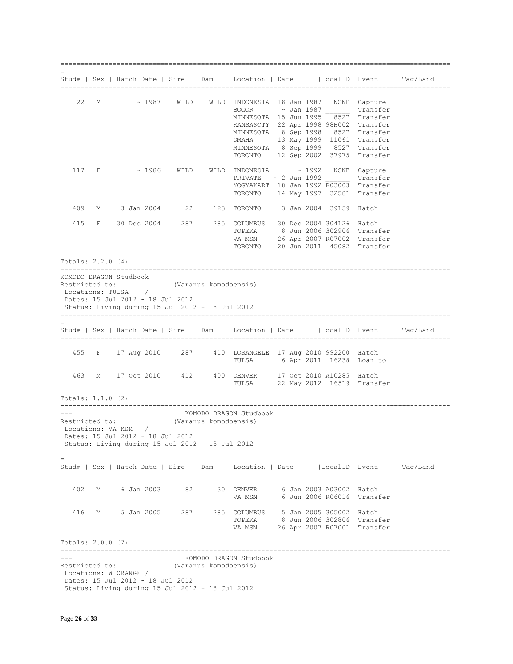|                   |       |                                                                                                                                                       |                       |                       |                        | Stud#   Sex   Hatch Date   Sire   Dam   Location   Date   LocalID  Event   Tag/Band                                                                                                                                                                                                                                    |  |  |
|-------------------|-------|-------------------------------------------------------------------------------------------------------------------------------------------------------|-----------------------|-----------------------|------------------------|------------------------------------------------------------------------------------------------------------------------------------------------------------------------------------------------------------------------------------------------------------------------------------------------------------------------|--|--|
| 22                | М     |                                                                                                                                                       |                       |                       |                        | ~ 1987 WILD WILD INDONESIA 18 Jan 1987 NONE Capture<br>BOGOR ~ Jan 1987 Transfer<br>MINNESOTA 15 Jun 1995 8527 Transfer<br>KANSASCTY 22 Apr 1998 98H002 Transfer<br>MINNESOTA 8 Sep 1998 8527 Transfer<br>OMAHA 13 May 1999 11061 Transfer<br>MINNESOTA 8 Sep 1999 8527 Transfer<br>TORONTO 12 Sep 2002 37975 Transfer |  |  |
|                   | 117 F |                                                                                                                                                       |                       |                       |                        | $\sim$ 1986 WILD WILD INDONESIA $\sim$ 1992 NONE Capture<br>PRIVATE $\sim$ 2 Jan 1992 Transfer<br>YOGYAKART 18 Jan 1992 R03003 Transfer<br>TORONTO 14 May 1997 32581 Transfer                                                                                                                                          |  |  |
| 409               |       |                                                                                                                                                       |                       |                       |                        | M 3 Jan 2004 22 123 TORONTO 3 Jan 2004 39159 Hatch                                                                                                                                                                                                                                                                     |  |  |
| 415               |       |                                                                                                                                                       |                       |                       |                        | F 30 Dec 2004 287 285 COLUMBUS 30 Dec 2004 304126 Hatch<br>TOPEKA 8 Jun 2006 302906 Transfer<br>VA MSM 26 Apr 2007 R07002 Transfer<br>TORONTO 20 Jun 2011 45082 Transfer                                                                                                                                               |  |  |
| Totals: 2.2.0 (4) |       |                                                                                                                                                       |                       |                       |                        |                                                                                                                                                                                                                                                                                                                        |  |  |
|                   |       | KOMODO DRAGON Studbook<br>Restricted to:<br>Locations: TULSA /<br>Dates: 15 Jul 2012 - 18 Jul 2012<br>Status: Living during 15 Jul 2012 - 18 Jul 2012 | (Varanus komodoensis) |                       |                        | Stud#   Sex   Hatch Date   Sire   Dam   Location   Date   LocalID   Event   Tag/Band                                                                                                                                                                                                                                   |  |  |
|                   |       |                                                                                                                                                       |                       |                       |                        |                                                                                                                                                                                                                                                                                                                        |  |  |
|                   |       |                                                                                                                                                       |                       |                       |                        | 455 F 17 Aug 2010 287 410 LOSANGELE 17 Aug 2010 992200 Hatch<br>TULSA 6 Apr 2011 16238 Loan to                                                                                                                                                                                                                         |  |  |
| 463               |       |                                                                                                                                                       |                       |                       |                        | M 17 Oct 2010 412 400 DENVER 17 Oct 2010 A10285 Hatch<br>TULSA 22 May 2012 16519 Transfer                                                                                                                                                                                                                              |  |  |
| Totals: 1.1.0 (2) |       |                                                                                                                                                       |                       |                       |                        |                                                                                                                                                                                                                                                                                                                        |  |  |
| ---               |       | Restricted to:<br>Locations: VA MSM /<br>Dates: 15 Jul 2012 - 18 Jul 2012<br>Status: Living during 15 Jul 2012 - 18 Jul 2012                          | (Varanus komodoensis) |                       | KOMODO DRAGON Studbook |                                                                                                                                                                                                                                                                                                                        |  |  |
|                   |       |                                                                                                                                                       |                       |                       |                        | Stud#   Sex   Hatch Date   Sire   Dam   Location   Date   LocalID  Event   Tag/Band                                                                                                                                                                                                                                    |  |  |
| 402               | М     | 6 Jan 2003                                                                                                                                            | 82                    |                       | 30 DENVER<br>VA MSM    | 6 Jan 2003 A03002 Hatch<br>6 Jun 2006 R06016 Transfer                                                                                                                                                                                                                                                                  |  |  |
| 416               |       | M 5 Jan 2005                                                                                                                                          | 287                   |                       | TOPEKA                 | 285 COLUMBUS 5 Jan 2005 305002 Hatch<br>8 Jun 2006 302806 Transfer<br>VA MSM 26 Apr 2007 R07001 Transfer                                                                                                                                                                                                               |  |  |
| Totals: 2.0.0 (2) |       |                                                                                                                                                       |                       |                       |                        |                                                                                                                                                                                                                                                                                                                        |  |  |
|                   |       | Restricted to:<br>Locations: W ORANGE /<br>Dates: 15 Jul 2012 - 18 Jul 2012<br>Status: Living during 15 Jul 2012 - 18 Jul 2012                        |                       | (Varanus komodoensis) | KOMODO DRAGON Studbook |                                                                                                                                                                                                                                                                                                                        |  |  |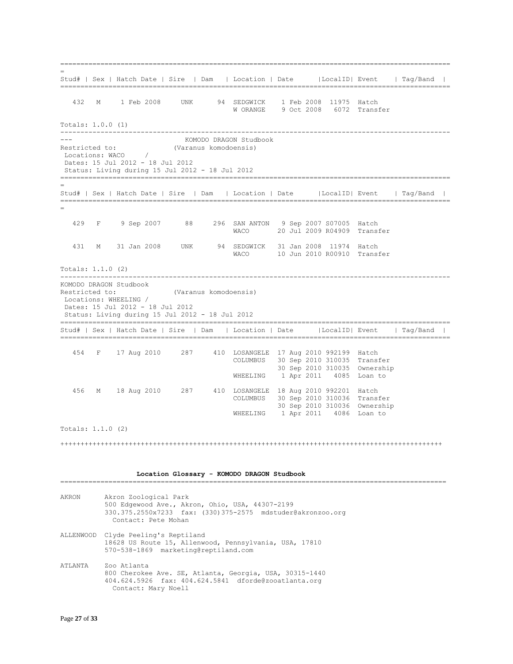================================================================================================= = Stud# | Sex | Hatch Date | Sire | Dam | Location | Date |LocalID| Event | Tag/Band | ================================================================================================= 432 M 1 Feb 2008 UNK 94 SEDGWICK 1 Feb 2008 11975 Hatch W ORANGE 9 Oct 2008 6072 Transfer Totals: 1.0.0 (1) ------------------------------------------------------------------------------------------------- KOMODO DRAGON Studbook Restricted to: (Varanus komodoensis) Locations: WACO / Dates: 15 Jul 2012 - 18 Jul 2012 Status: Living during 15 Jul 2012 - 18 Jul 2012 ================================================================================================= = Stud# | Sex | Hatch Date | Sire | Dam | Location | Date |LocalID| Event | Tag/Band | ================================================================================================= = 429 F 9 Sep 2007 88 296 SAN ANTON 9 Sep 2007 S07005 Hatch WACO 20 Jul 2009 R04909 Transfer 431 M 31 Jan 2008 UNK 94 SEDGWICK 31 Jan 2008 11974 Hatch WACO 10 Jun 2010 R00910 Transfer Totals: 1.1.0 (2) ------------------------------------------------------------------------------------------------- KOMODO DRAGON Studbook Restricted to: (Varanus komodoensis) Locations: WHEELING / Dates: 15 Jul 2012 - 18 Jul 2012 Status: Living during 15 Jul 2012 - 18 Jul 2012 ================================================================================================= Stud# | Sex | Hatch Date | Sire | Dam | Location | Date |LocalID| Event | Tag/Band | ================================================================================================= 454 F 17 Aug 2010 287 410 LOSANGELE 17 Aug 2010 992199 Hatch COLUMBUS 30 Sep 2010 310035 Transfer 30 Sep 2010 310035 Ownership WHEELING 1 Apr 2011 4085 Loan to 456 M 18 Aug 2010 287 410 LOSANGELE 18 Aug 2010 992201 Hatch COLUMBUS 30 Sep 2010 310036 Transfer 30 Sep 2010 310036 Ownership WHEELING 1 Apr 2011 4086 Loan to Totals: 1.1.0 (2) +++++++++++++++++++++++++++++++++++++++++++++++++++++++++++++++++++++++++++++++++++++++++++++++  **Location Glossary - KOMODO DRAGON Studbook** ================================================================================================ AKRON Akron Zoological Park 500 Edgewood Ave., Akron, Ohio, USA, 44307-2199 330.375.2550x7233 fax: (330)375-2575 mdstuder@akronzoo.org Contact: Pete Mohan ALLENWOOD Clyde Peeling's Reptiland 18628 US Route 15, Allenwood, Pennsylvania, USA, 17810 570-538-1869 marketing@reptiland.com ATLANTA Zoo Atlanta 800 Cherokee Ave. SE, Atlanta, Georgia, USA, 30315-1440 404.624.5926 fax: 404.624.5841 dforde@zooatlanta.org Contact: Mary Noell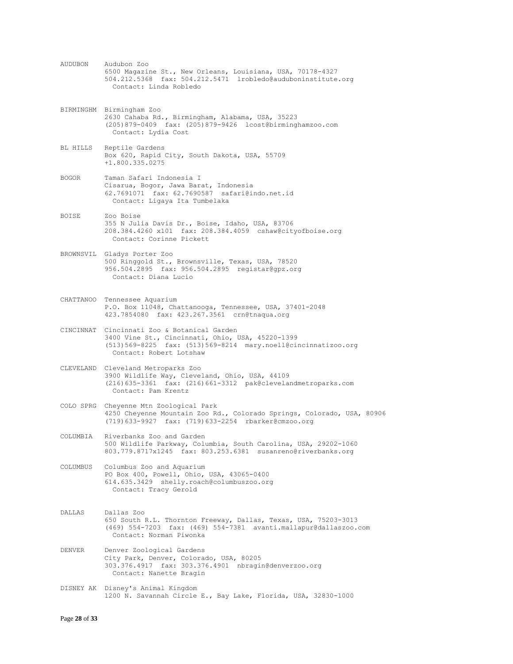AUDUBON Audubon Zoo 6500 Magazine St., New Orleans, Louisiana, USA, 70178-4327 504.212.5368 fax: 504.212.5471 lrobledo@auduboninstitute.org Contact: Linda Robledo BIRMINGHM Birmingham Zoo 2630 Cahaba Rd., Birmingham, Alabama, USA, 35223 (205)879-0409 fax: (205)879-9426 lcost@birminghamzoo.com Contact: Lydia Cost BL HILLS Reptile Gardens Box 620, Rapid City, South Dakota, USA, 55709 +1.800.335.0275 BOGOR Taman Safari Indonesia I Cisarua, Bogor, Jawa Barat, Indonesia 62.7691071 fax: 62.7690587 safari@indo.net.id Contact: Ligaya Ita Tumbelaka BOISE Zoo Boise 355 N Julia Davis Dr., Boise, Idaho, USA, 83706 208.384.4260 x101 fax: 208.384.4059 cshaw@cityofboise.org Contact: Corinne Pickett BROWNSVIL Gladys Porter Zoo 500 Ringgold St., Brownsville, Texas, USA, 78520 956.504.2895 fax: 956.504.2895 registar@gpz.org Contact: Diana Lucio CHATTANOO Tennessee Aquarium P.O. Box 11048, Chattanooga, Tennessee, USA, 37401-2048 423.7854080 fax: 423.267.3561 crn@tnaqua.org CINCINNAT Cincinnati Zoo & Botanical Garden 3400 Vine St., Cincinnati, Ohio, USA, 45220-1399 (513)569-8225 fax: (513)569-8214 mary.noell@cincinnatizoo.org Contact: Robert Lotshaw CLEVELAND Cleveland Metroparks Zoo 3900 Wildlife Way, Cleveland, Ohio, USA, 44109 (216)635-3361 fax: (216)661-3312 pak@clevelandmetroparks.com Contact: Pam Krentz COLO SPRG Cheyenne Mtn Zoological Park 4250 Cheyenne Mountain Zoo Rd., Colorado Springs, Colorado, USA, 80906 (719)633-9927 fax: (719)633-2254 rbarker@cmzoo.org COLUMBIA Riverbanks Zoo and Garden 500 Wildlife Parkway, Columbia, South Carolina, USA, 29202-1060 803.779.8717x1245 fax: 803.253.6381 susanreno@riverbanks.org COLUMBUS Columbus Zoo and Aquarium PO Box 400, Powell, Ohio, USA, 43065-0400 614.635.3429 shelly.roach@columbuszoo.org Contact: Tracy Gerold DALLAS Dallas Zoo 650 South R.L. Thornton Freeway, Dallas, Texas, USA, 75203-3013 (469) 554-7203 fax: (469) 554-7381 avanti.mallapur@dallaszoo.com Contact: Norman Piwonka DENVER Denver Zoological Gardens City Park, Denver, Colorado, USA, 80205 303.376.4917 fax: 303.376.4901 nbragin@denverzoo.org Contact: Nanette Bragin DISNEY AK Disney's Animal Kingdom 1200 N. Savannah Circle E., Bay Lake, Florida, USA, 32830-1000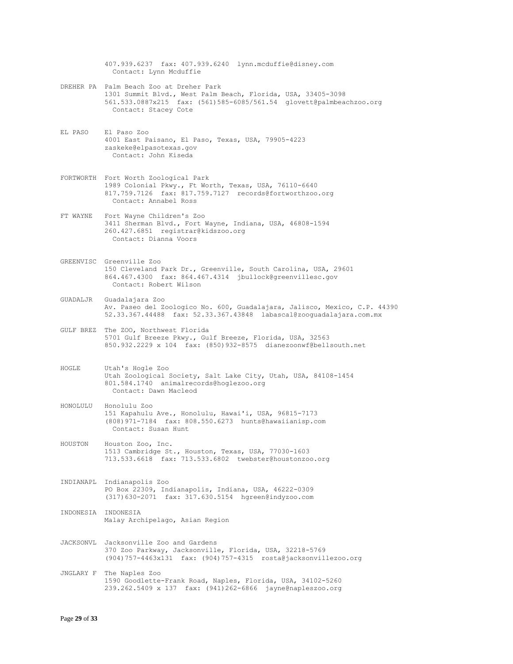407.939.6237 fax: 407.939.6240 lynn.mcduffie@disney.com Contact: Lynn Mcduffie DREHER PA Palm Beach Zoo at Dreher Park 1301 Summit Blvd., West Palm Beach, Florida, USA, 33405-3098 561.533.0887x215 fax: (561)585-6085/561.54 glovett@palmbeachzoo.org Contact: Stacey Cote EL PASO El Paso Zoo 4001 East Paisano, El Paso, Texas, USA, 79905-4223 zaskeke@elpasotexas.gov Contact: John Kiseda FORTWORTH Fort Worth Zoological Park 1989 Colonial Pkwy., Ft Worth, Texas, USA, 76110-6640 817.759.7126 fax: 817.759.7127 records@fortworthzoo.org Contact: Annabel Ross FT WAYNE Fort Wayne Children's Zoo 3411 Sherman Blvd., Fort Wayne, Indiana, USA, 46808-1594 260.427.6851 registrar@kidszoo.org Contact: Dianna Voors GREENVISC Greenville Zoo 150 Cleveland Park Dr., Greenville, South Carolina, USA, 29601 864.467.4300 fax: 864.467.4314 jbullock@greenvillesc.gov Contact: Robert Wilson GUADALJR Guadalajara Zoo Av. Paseo del Zoologico No. 600, Guadalajara, Jalisco, Mexico, C.P. 44390 52.33.367.44488 fax: 52.33.367.43848 labascal@zooguadalajara.com.mx GULF BREZ The ZOO, Northwest Florida 5701 Gulf Breeze Pkwy., Gulf Breeze, Florida, USA, 32563 850.932.2229 x 104 fax: (850)932-8575 dianezoonwf@bellsouth.net HOGLE Utah's Hogle Zoo Utah Zoological Society, Salt Lake City, Utah, USA, 84108-1454 801.584.1740 animalrecords@hoglezoo.org Contact: Dawn Macleod HONOLULU Honolulu Zoo 151 Kapahulu Ave., Honolulu, Hawai'i, USA, 96815-7173 (808)971-7184 fax: 808.550.6273 hunts@hawaiianisp.com Contact: Susan Hunt HOUSTON Houston Zoo, Inc. 1513 Cambridge St., Houston, Texas, USA, 77030-1603 713.533.6618 fax: 713.533.6802 twebster@houstonzoo.org INDIANAPL Indianapolis Zoo PO Box 22309, Indianapolis, Indiana, USA, 46222-0309 (317)630-2071 fax: 317.630.5154 hgreen@indyzoo.com INDONESIA INDONESIA Malay Archipelago, Asian Region JACKSONVL Jacksonville Zoo and Gardens 370 Zoo Parkway, Jacksonville, Florida, USA, 32218-5769 (904)757-4463x131 fax: (904)757-4315 rosta@jacksonvillezoo.org

JNGLARY F The Naples Zoo 1590 Goodlette-Frank Road, Naples, Florida, USA, 34102-5260 239.262.5409 x 137 fax: (941)262-6866 jayne@napleszoo.org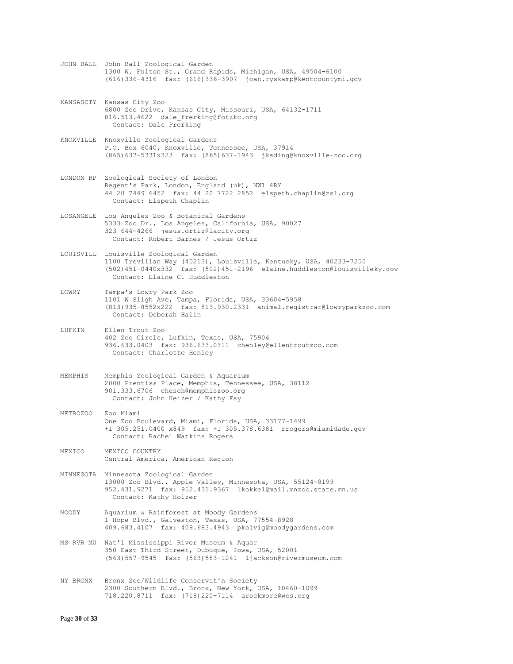- JOHN BALL John Ball Zoological Garden 1300 W. Fulton St., Grand Rapids, Michigan, USA, 49504-6100 (616)336-4316 fax: (616)336-3907 joan.ryskamp@kentcountymi.gov
- KANSASCTY Kansas City Zoo 6800 Zoo Drive, Kansas City, Missouri, USA, 64132-1711 816.513.4622 dale frerking@fotzkc.org Contact: Dale Frerking
- KNOXVILLE Knoxville Zoological Gardens P.O. Box 6040, Knoxville, Tennessee, USA, 37914 (865)637-5331x323 fax: (865)637-1943 jkading@knoxville-zoo.org
- LONDON RP Zoological Society of London Regent's Park, London, England (uk), NW1 4RY 44 20 7449 6452 fax: 44 20 7722 2852 elspeth.chaplin@zsl.org Contact: Elspeth Chaplin
- LOSANGELE Los Angeles Zoo & Botanical Gardens 5333 Zoo Dr., Los Angeles, California, USA, 90027 323 644-4266 jesus.ortiz@lacity.org Contact: Robert Barnes / Jesus Ortiz
- LOUISVILL Louisville Zoological Garden 1100 Trevilian Way (40213), Louisville, Kentucky, USA, 40233-7250 (502)451-0440x332 fax: (502)451-2196 elaine.huddleston@louisvilleky.gov Contact: Elaine C. Huddleston
- LOWRY Tampa's Lowry Park Zoo 1101 W Sligh Ave, Tampa, Florida, USA, 33604-5958 (813)935-8552x222 fax: 813.930.2331 animal.registrar@lowryparkzoo.com Contact: Deborah Halin
- LUFKIN Ellen Trout Zoo 402 Zoo Circle, Lufkin, Texas, USA, 75904 936.633.0403 fax: 936.633.0311 chenley@ellentroutzoo.com Contact: Charlotte Henley
- MEMPHIS Memphis Zoological Garden & Aquarium 2000 Prentiss Place, Memphis, Tennessee, USA, 38112 901.333.6706 chesch@memphiszoo.org Contact: John Heizer / Kathy Fay
- METROZOO Zoo Miami One Zoo Boulevard, Miami, Florida, USA, 33177-1499 +1 305.251.0400 x849 fax: +1 305.378.6381 rrogers@miamidade.gov Contact: Rachel Watkins Rogers
- MEXICO MEXICO COUNTRY Central America, American Region
- MINNESOTA Minnesota Zoological Garden 13000 Zoo Blvd., Apple Valley, Minnesota, USA, 55124-8199 952.431.9271 fax: 952.431.9367 lkokkel@mail.mnzoo.state.mn.us Contact: Kathy Holzer
- MOODY Aquarium & Rainforest at Moody Gardens 1 Hope Blvd., Galveston, Texas, USA, 77554-8928 409.683.4107 fax: 409.683.4943 pkolvig@moodygardens.com
- MS RVR MU Nat'l Mississippi River Museum & Aquar 350 East Third Street, Dubuque, Iowa, USA, 52001 (563)557-9545 fax: (563)583-1241 ljackson@rivermuseum.com
- NY BRONX Bronx Zoo/Wildlife Conservat'n Society 2300 Southern Blvd., Bronx, New York, USA, 10460-1099 718.220.8711 fax: (718)220-7114 arockmore@wcs.org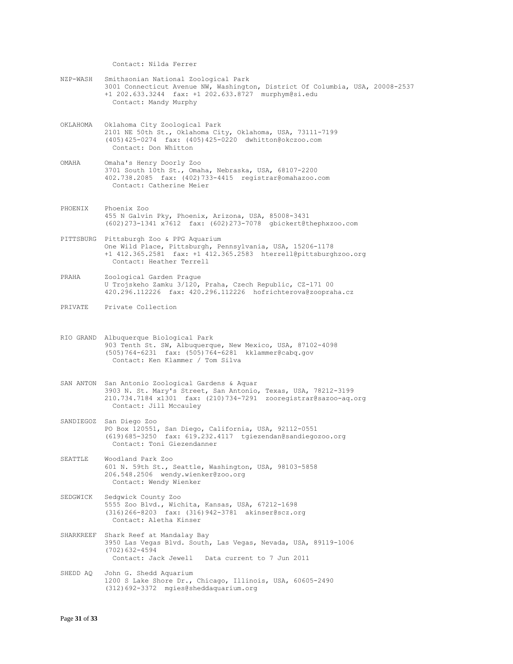Contact: Nilda Ferrer

- NZP-WASH Smithsonian National Zoological Park 3001 Connecticut Avenue NW, Washington, District Of Columbia, USA, 20008-2537 +1 202.633.3244 fax: +1 202.633.8727 murphym@si.edu Contact: Mandy Murphy
- OKLAHOMA Oklahoma City Zoological Park 2101 NE 50th St., Oklahoma City, Oklahoma, USA, 73111-7199 (405)425-0274 fax: (405)425-0220 dwhitton@okczoo.com Contact: Don Whitton
- OMAHA Omaha's Henry Doorly Zoo 3701 South 10th St., Omaha, Nebraska, USA, 68107-2200 402.738.2085 fax: (402)733-4415 registrar@omahazoo.com Contact: Catherine Meier
- PHOENIX Phoenix Zoo 455 N Galvin Pky, Phoenix, Arizona, USA, 85008-3431 (602)273-1341 x7612 fax: (602)273-7078 gbickert@thephxzoo.com
- PITTSBURG Pittsburgh Zoo & PPG Aquarium One Wild Place, Pittsburgh, Pennsylvania, USA, 15206-1178 +1 412.365.2581 fax: +1 412.365.2583 hterrell@pittsburghzoo.org Contact: Heather Terrell
- PRAHA Zoological Garden Prague U Trojskeho Zamku 3/120, Praha, Czech Republic, CZ-171 00 420.296.112226 fax: 420.296.112226 hofrichterova@zoopraha.cz
- PRIVATE Private Collection
- RIO GRAND Albuquerque Biological Park 903 Tenth St. SW, Albuquerque, New Mexico, USA, 87102-4098 (505)764-6231 fax: (505)764-6281 kklammer@cabq.gov Contact: Ken Klammer / Tom Silva
- SAN ANTON San Antonio Zoological Gardens & Aquar 3903 N. St. Mary's Street, San Antonio, Texas, USA, 78212-3199 210.734.7184 x1301 fax: (210)734-7291 zooregistrar@sazoo-aq.org Contact: Jill Mccauley
- SANDIEGOZ San Diego Zoo PO Box 120551, San Diego, California, USA, 92112-0551 (619)685-3250 fax: 619.232.4117 tgiezendan@sandiegozoo.org Contact: Toni Giezendanner
- SEATTLE Woodland Park Zoo 601 N. 59th St., Seattle, Washington, USA, 98103-5858 206.548.2506 wendy.wienker@zoo.org Contact: Wendy Wienker
- SEDGWICK Sedgwick County Zoo 5555 Zoo Blvd., Wichita, Kansas, USA, 67212-1698 (316)266-8203 fax: (316)942-3781 akinser@scz.org Contact: Aletha Kinser
- SHARKREEF Shark Reef at Mandalay Bay 3950 Las Vegas Blvd. South, Las Vegas, Nevada, USA, 89119-1006 (702)632-4594 Contact: Jack Jewell Data current to 7 Jun 2011
- SHEDD AQ John G. Shedd Aquarium 1200 S Lake Shore Dr., Chicago, Illinois, USA, 60605-2490 (312)692-3372 mgies@sheddaquarium.org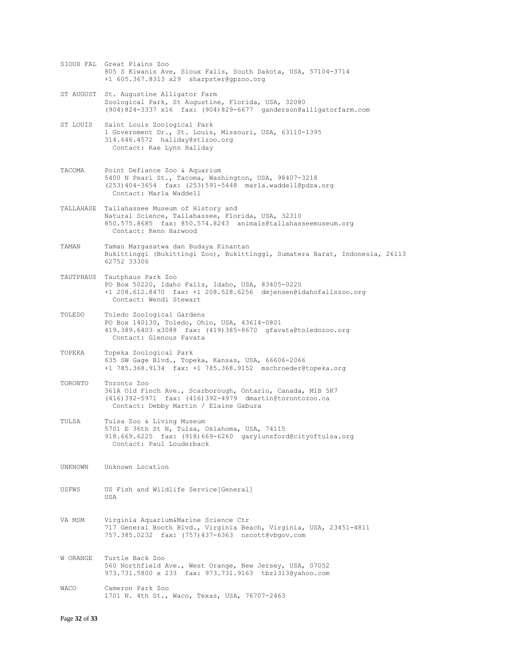- SIOUX FAL Great Plains Zoo 805 S Kiwanis Ave, Sioux Falls, South Dakota, USA, 57104-3714 +1 605.367.8313 x29 sharpster@gpzoo.org
- ST AUGUST St. Augustine Alligator Farm Zoological Park, St Augustine, Florida, USA, 32080 (904)824-3337 x16 fax: (904)829-6677 ganderson@alligatorfarm.com
- ST LOUIS Saint Louis Zoological Park 1 Government Dr., St. Louis, Missouri, USA, 63110-1395 314.646.4572 haliday@stlzoo.org Contact: Rae Lynn Haliday
- TACOMA Point Defiance Zoo & Aquarium 5400 N Pearl St., Tacoma, Washington, USA, 98407-3218 (253)404-3654 fax: (253)591-5448 marla.waddell@pdza.org Contact: Marla Waddell
- TALLAHASE Tallahassee Museum of History and Natural Science, Tallahassee, Florida, USA, 32310 850.575.8685 fax: 850.574.8243 animals@tallahasseemuseum.org Contact: Kenn Harwood
- TAMAN Taman Margasatwa dan Budaya Kinantan Bukittinggi (Bukittingi Zoo), Bukittinggi, Sumatera Barat, Indonesia, 26113 62752 33306
- TAUTPHAUS Tautphaus Park Zoo PO Box 50220, Idaho Falls, Idaho, USA, 83405-0220 +1 208.612.8470 fax: +1 208.528.6256 dmjensen@idahofallszoo.org Contact: Wendi Stewart
- TOLEDO Toledo Zoological Gardens PO Box 140130, Toledo, Ohio, USA, 43614-0801 419.389.6403 x3088 fax: (419)385-8670 gfavata@toledozoo.org Contact: Glenous Favata
- TOPEKA Topeka Zoological Park 635 SW Gage Blvd., Topeka, Kansas, USA, 66606-2066 +1 785.368.9134 fax: +1 785.368.9152 mschroeder@topeka.org
- TORONTO Toronto Zoo 361A Old Finch Ave., Scarborough, Ontario, Canada, M1B 5K7 (416)392-5971 fax: (416)392-4979 dmartin@torontozoo.ca Contact: Debby Martin / Elaine Gabura
- TULSA Tulsa Zoo & Living Museum 5701 E 36th St N, Tulsa, Oklahoma, USA, 74115 918.669.6225 fax: (918)669-6260 garylunsford@cityoftulsa.org Contact: Paul Louderback
- UNKNOWN Unknown Location
- USFWS US Fish and Wildlife Service[General] USA
- VA MSM Virginia Aquarium&Marine Science Ctr 717 General Booth Blvd., Virginia Beach, Virginia, USA, 23451-4811 757.385.0232 fax: (757)437-6363 nscott@vbgov.com
- W ORANGE Turtle Back Zoo 560 Northfield Ave., West Orange, New Jersey, USA, 07052 973.731.5800 x 233 fax: 973.731.9163 tbz1313@yahoo.com
- WACO Cameron Park Zoo 1701 N. 4th St., Waco, Texas, USA, 76707-2463